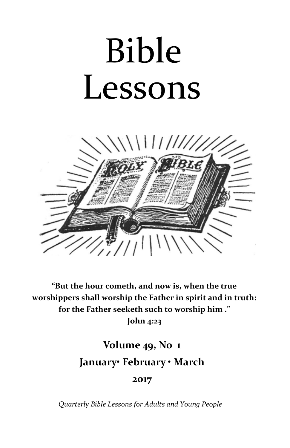# Bible Lessons



**"But the hour cometh, and now is, when the true worshippers shall worship the Father in spirit and in truth: for the Father seeketh such to worship him ."**

**John 4:23**

# **Volume 49, No 1 January• February • March**

**2017**

*Quarterly Bible Lessons for Adults and Young People*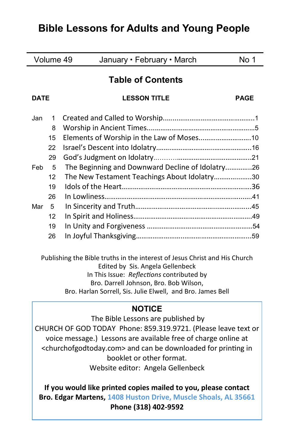# **Bible Lessons for Adults and Young People**

| Volume 49                |    | January • February • March                       | No 1        |
|--------------------------|----|--------------------------------------------------|-------------|
| <b>Table of Contents</b> |    |                                                  |             |
| <b>DATE</b>              |    | <b>LESSON TITLE</b>                              | <b>PAGE</b> |
| Jan                      | 1  |                                                  |             |
|                          | 8  |                                                  |             |
|                          | 15 | Elements of Worship in the Law of Moses 10       |             |
|                          | 22 |                                                  |             |
|                          | 29 |                                                  |             |
| <b>Feb</b>               | 5  | The Beginning and Downward Decline of Idolatry26 |             |
|                          | 12 | The New Testament Teachings About Idolatry30     |             |
|                          | 19 |                                                  |             |
|                          | 26 |                                                  |             |
| Mar                      | 5  |                                                  |             |
|                          | 12 |                                                  |             |
|                          | 19 |                                                  |             |
|                          | 26 |                                                  |             |
|                          |    |                                                  |             |

Publishing the Bible truths in the interest of Jesus Christ and His Church Edited by Sis. Angela Gellenbeck In This Issue: *Reflections* contributed by Bro. Darrell Johnson, Bro. Bob Wilson, Bro. Harlan Sorrell, Sis. Julie Elwell, and Bro. James Bell

# **NOTICE**

The Bible Lessons are published by CHURCH OF GOD TODAY Phone: 859.319.9721. (Please leave text or voice message.) Lessons are available free of charge online at <churchofgodtoday.com> and can be downloaded for printing in booklet or other format. Website editor: Angela Gellenbeck

**If you would like printed copies mailed to you, please contact Bro. Edgar Martens, 1408 Huston Drive, Muscle Shoals, AL 35661 Phone (318) 402-9592**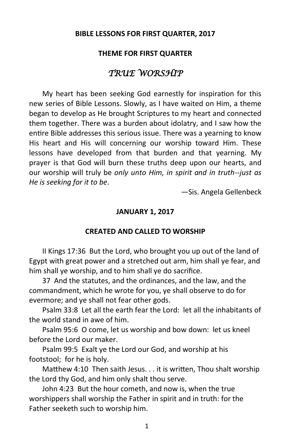#### **BIBLE LESSONS FOR FIRST QUARTER, 2017**

#### **THEME FOR FIRST QUARTER**

# *TRUE WORSHIP*

My heart has been seeking God earnestly for inspiration for this new series of Bible Lessons. Slowly, as I have waited on Him, a theme began to develop as He brought Scriptures to my heart and connected them together. There was a burden about idolatry, and I saw how the entire Bible addresses this serious issue. There was a yearning to know His heart and His will concerning our worship toward Him. These lessons have developed from that burden and that yearning. My prayer is that God will burn these truths deep upon our hearts, and our worship will truly be *only unto Him, in spirit and in truth--just as He is seeking for it to be*.

—Sis. Angela Gellenbeck

#### **JANUARY 1, 2017**

#### **CREATED AND CALLED TO WORSHIP**

II Kings 17:36 But the Lord, who brought you up out of the land of Egypt with great power and a stretched out arm, him shall ye fear, and him shall ye worship, and to him shall ye do sacrifice.

37 And the statutes, and the ordinances, and the law, and the commandment, which he wrote for you, ye shall observe to do for evermore; and ye shall not fear other gods.

Psalm 33:8 Let all the earth fear the Lord: let all the inhabitants of the world stand in awe of him.

Psalm 95:6 O come, let us worship and bow down: let us kneel before the Lord our maker.

Psalm 99:5 Exalt ye the Lord our God, and worship at his footstool; for he is holy.

Matthew 4:10 Then saith Jesus. . . it is written, Thou shalt worship the Lord thy God, and him only shalt thou serve.

John 4:23 But the hour cometh, and now is, when the true worshippers shall worship the Father in spirit and in truth: for the Father seeketh such to worship him.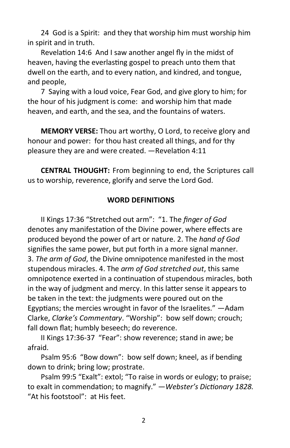24 God is a Spirit: and they that worship him must worship him in spirit and in truth.

Revelation 14:6 And I saw another angel fly in the midst of heaven, having the everlasting gospel to preach unto them that dwell on the earth, and to every nation, and kindred, and tongue, and people,

7 Saying with a loud voice, Fear God, and give glory to him; for the hour of his judgment is come: and worship him that made heaven, and earth, and the sea, and the fountains of waters.

**MEMORY VERSE:** Thou art worthy, O Lord, to receive glory and honour and power: for thou hast created all things, and for thy pleasure they are and were created. —Revelation 4:11

**CENTRAL THOUGHT:** From beginning to end, the Scriptures call us to worship, reverence, glorify and serve the Lord God.

# **WORD DEFINITIONS**

II Kings 17:36 "Stretched out arm": "1. The *finger of God*  denotes any manifestation of the Divine power, where effects are produced beyond the power of art or nature. 2. The *hand of God*  signifies the same power, but put forth in a more signal manner. 3. *The arm of God*, the Divine omnipotence manifested in the most stupendous miracles. 4. The *arm of God stretched out*, this same omnipotence exerted in a continuation of stupendous miracles, both in the way of judgment and mercy. In this latter sense it appears to be taken in the text: the judgments were poured out on the Egyptians; the mercies wrought in favor of the Israelites." —Adam Clarke, *Clarke's Commentary*. "Worship": bow self down; crouch; fall down flat; humbly beseech; do reverence.

II Kings 17:36-37 "Fear": show reverence; stand in awe; be afraid.

Psalm 95:6 "Bow down": bow self down; kneel, as if bending down to drink; bring low; prostrate.

Psalm 99:5 "Exalt": extol; "To raise in words or eulogy; to praise; to exalt in commendation; to magnify." —*Webster's Dictionary 1828.*  "At his footstool": at His feet.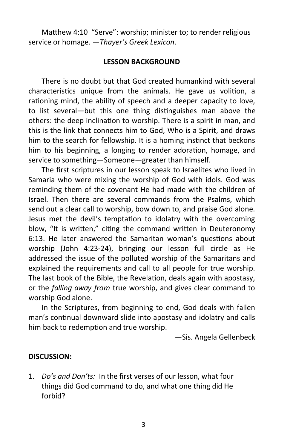Matthew 4:10 "Serve": worship; minister to; to render religious service or homage. —*Thayer's Greek Lexicon*.

#### **LESSON BACKGROUND**

There is no doubt but that God created humankind with several characteristics unique from the animals. He gave us volition, a rationing mind, the ability of speech and a deeper capacity to love, to list several—but this one thing distinguishes man above the others: the deep inclination to worship. There is a spirit in man, and this is the link that connects him to God, Who is a Spirit, and draws him to the search for fellowship. It is a homing instinct that beckons him to his beginning, a longing to render adoration, homage, and service to something—Someone—greater than himself.

The first scriptures in our lesson speak to Israelites who lived in Samaria who were mixing the worship of God with idols. God was reminding them of the covenant He had made with the children of Israel. Then there are several commands from the Psalms, which send out a clear call to worship, bow down to, and praise God alone. Jesus met the devil's temptation to idolatry with the overcoming blow, "It is written," citing the command written in Deuteronomy 6:13. He later answered the Samaritan woman's questions about worship (John 4:23-24), bringing our lesson full circle as He addressed the issue of the polluted worship of the Samaritans and explained the requirements and call to all people for true worship. The last book of the Bible, the Revelation, deals again with apostasy, or the *falling away from* true worship, and gives clear command to worship God alone.

In the Scriptures, from beginning to end, God deals with fallen man's continual downward slide into apostasy and idolatry and calls him back to redemption and true worship.

—Sis. Angela Gellenbeck

#### **DISCUSSION:**

1. *Do's and Don'ts:* In the first verses of our lesson, what four things did God command to do, and what one thing did He forbid?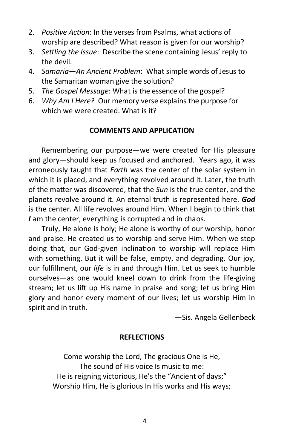- 2. *Positive Action*: In the verses from Psalms, what actions of worship are described? What reason is given for our worship?
- 3. *Settling the Issue*: Describe the scene containing Jesus' reply to the devil.
- 4. *Samaria—An Ancient Problem*: What simple words of Jesus to the Samaritan woman give the solution?
- 5. *The Gospel Message*: What is the essence of the gospel?
- 6. *Why Am I Here?* Our memory verse explains the purpose for which we were created. What is it?

# **COMMENTS AND APPLICATION**

Remembering our purpose—we were created for His pleasure and glory—should keep us focused and anchored. Years ago, it was erroneously taught that *Earth* was the center of the solar system in which it is placed, and everything revolved around it. Later, the truth of the matter was discovered, that the *Sun* is the true center, and the planets revolve around it. An eternal truth is represented here. *God* is the center. All life revolves around Him. When I begin to think that *I* am the center, everything is corrupted and in chaos.

Truly, He alone is holy; He alone is worthy of our worship, honor and praise. He created us to worship and serve Him. When we stop doing that, our God-given inclination to worship will replace Him with something. But it will be false, empty, and degrading. Our joy, our fulfillment, our *life* is in and through Him. Let us seek to humble ourselves—as one would kneel down to drink from the life-giving stream; let us lift up His name in praise and song; let us bring Him glory and honor every moment of our lives; let us worship Him in spirit and in truth.

—Sis. Angela Gellenbeck

# **REFLECTIONS**

Come worship the Lord, The gracious One is He, The sound of His voice Is music to me: He is reigning victorious, He's the "Ancient of days;" Worship Him, He is glorious In His works and His ways;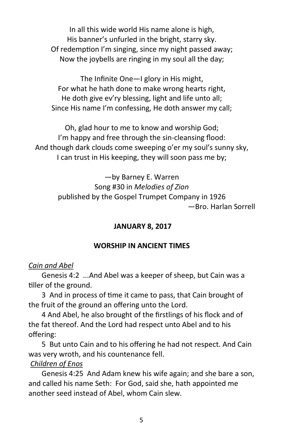In all this wide world His name alone is high, His banner's unfurled in the bright, starry sky. Of redemption I'm singing, since my night passed away; Now the joybells are ringing in my soul all the day;

The Infinite One—I glory in His might, For what he hath done to make wrong hearts right, He doth give ev'ry blessing, light and life unto all; Since His name I'm confessing, He doth answer my call;

Oh, glad hour to me to know and worship God; I'm happy and free through the sin-cleansing flood: And though dark clouds come sweeping o'er my soul's sunny sky, I can trust in His keeping, they will soon pass me by;

> —by Barney E. Warren Song #30 in *Melodies of Zion* published by the Gospel Trumpet Company in 1926 —Bro. Harlan Sorrell

# **JANUARY 8, 2017**

#### **WORSHIP IN ANCIENT TIMES**

#### *Cain and Abel*

Genesis 4:2 ...And Abel was a keeper of sheep, but Cain was a tiller of the ground.

3 And in process of time it came to pass, that Cain brought of the fruit of the ground an offering unto the Lord.

4 And Abel, he also brought of the firstlings of his flock and of the fat thereof. And the Lord had respect unto Abel and to his offering:

5 But unto Cain and to his offering he had not respect. And Cain was very wroth, and his countenance fell.

#### *Children of Enos*

Genesis 4:25 And Adam knew his wife again; and she bare a son, and called his name Seth: For God, said she, hath appointed me another seed instead of Abel, whom Cain slew.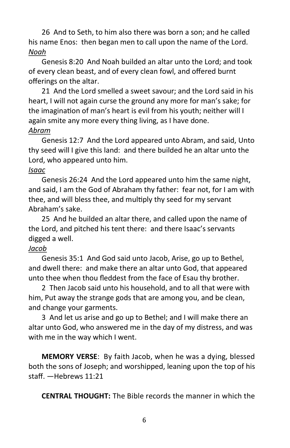26 And to Seth, to him also there was born a son; and he called his name Enos: then began men to call upon the name of the Lord. *Noah*

Genesis 8:20 And Noah builded an altar unto the Lord; and took of every clean beast, and of every clean fowl, and offered burnt offerings on the altar.

21 And the Lord smelled a sweet savour; and the Lord said in his heart, I will not again curse the ground any more for man's sake; for the imagination of man's heart is evil from his youth; neither will I again smite any more every thing living, as I have done. *Abram*

Genesis 12:7 And the Lord appeared unto Abram, and said, Unto thy seed will I give this land: and there builded he an altar unto the Lord, who appeared unto him.

# *Isaac*

Genesis 26:24 And the Lord appeared unto him the same night, and said, I am the God of Abraham thy father: fear not, for I am with thee, and will bless thee, and multiply thy seed for my servant Abraham's sake.

25 And he builded an altar there, and called upon the name of the Lord, and pitched his tent there: and there Isaac's servants digged a well.

# *Jacob*

Genesis 35:1 And God said unto Jacob, Arise, go up to Bethel, and dwell there: and make there an altar unto God, that appeared unto thee when thou fleddest from the face of Esau thy brother.

2 Then Jacob said unto his household, and to all that were with him, Put away the strange gods that are among you, and be clean, and change your garments.

3 And let us arise and go up to Bethel; and I will make there an altar unto God, who answered me in the day of my distress, and was with me in the way which I went.

**MEMORY VERSE**: By faith Jacob, when he was a dying, blessed both the sons of Joseph; and worshipped, leaning upon the top of his staff. —Hebrews 11:21

**CENTRAL THOUGHT:** The Bible records the manner in which the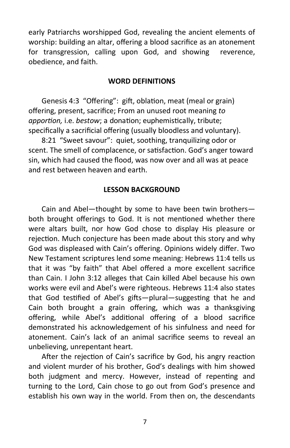early Patriarchs worshipped God, revealing the ancient elements of worship: building an altar, offering a blood sacrifice as an atonement for transgression, calling upon God, and showing reverence, obedience, and faith.

#### **WORD DEFINITIONS**

Genesis 4:3 "Offering": gift, oblation, meat (meal or grain) offering, present, sacrifice; From an unused root meaning *to apportion,* i.e. *bestow*; a donation; euphemistically, tribute; specifically a sacrificial offering (usually bloodless and voluntary).

8:21 "Sweet savour": quiet, soothing, tranquilizing odor or scent. The smell of complacence, or satisfaction. God's anger toward sin, which had caused the flood, was now over and all was at peace and rest between heaven and earth.

#### **LESSON BACKGROUND**

Cain and Abel—thought by some to have been twin brothers both brought offerings to God. It is not mentioned whether there were altars built, nor how God chose to display His pleasure or rejection. Much conjecture has been made about this story and why God was displeased with Cain's offering. Opinions widely differ. Two New Testament scriptures lend some meaning: Hebrews 11:4 tells us that it was "by faith" that Abel offered a more excellent sacrifice than Cain. I John 3:12 alleges that Cain killed Abel because his own works were evil and Abel's were righteous. Hebrews 11:4 also states that God testified of Abel's gifts—plural—suggesting that he and Cain both brought a grain offering, which was a thanksgiving offering, while Abel's additional offering of a blood sacrifice demonstrated his acknowledgement of his sinfulness and need for atonement. Cain's lack of an animal sacrifice seems to reveal an unbelieving, unrepentant heart.

After the rejection of Cain's sacrifice by God, his angry reaction and violent murder of his brother, God's dealings with him showed both judgment and mercy. However, instead of repenting and turning to the Lord, Cain chose to go out from God's presence and establish his own way in the world. From then on, the descendants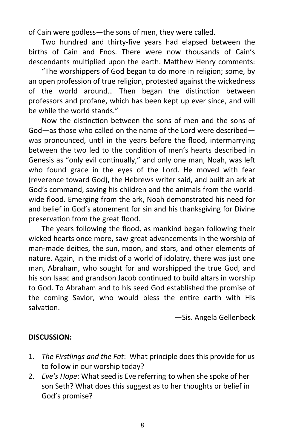of Cain were godless—the sons of men, they were called.

Two hundred and thirty-five years had elapsed between the births of Cain and Enos. There were now thousands of Cain's descendants multiplied upon the earth. Matthew Henry comments:

"The worshippers of God began to do more in religion; some, by an open profession of true religion, protested against the wickedness of the world around… Then began the distinction between professors and profane, which has been kept up ever since, and will be while the world stands."

Now the distinction between the sons of men and the sons of God—as those who called on the name of the Lord were described was pronounced, until in the years before the flood, intermarrying between the two led to the condition of men's hearts described in Genesis as "only evil continually," and only one man, Noah, was left who found grace in the eyes of the Lord. He moved with fear (reverence toward God), the Hebrews writer said, and built an ark at God's command, saving his children and the animals from the worldwide flood. Emerging from the ark, Noah demonstrated his need for and belief in God's atonement for sin and his thanksgiving for Divine preservation from the great flood.

The years following the flood, as mankind began following their wicked hearts once more, saw great advancements in the worship of man-made deities, the sun, moon, and stars, and other elements of nature. Again, in the midst of a world of idolatry, there was just one man, Abraham, who sought for and worshipped the true God, and his son Isaac and grandson Jacob continued to build altars in worship to God. To Abraham and to his seed God established the promise of the coming Savior, who would bless the entire earth with His salvation.

—Sis. Angela Gellenbeck

# **DISCUSSION:**

- 1. *The Firstlings and the Fat*: What principle does this provide for us to follow in our worship today?
- 2. *Eve's Hope*: What seed is Eve referring to when she spoke of her son Seth? What does this suggest as to her thoughts or belief in God's promise?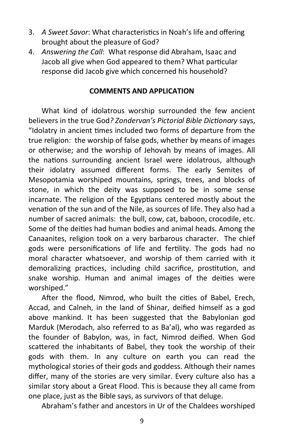- 3. *A Sweet Savor*: What characteristics in Noah's life and offering brought about the pleasure of God?
- 4. *Answering the Call*: What response did Abraham, Isaac and Jacob all give when God appeared to them? What particular response did Jacob give which concerned his household?

#### **COMMENTS AND APPLICATION**

What kind of idolatrous worship surrounded the few ancient believers in the true God*? Zondervan's Pictorial Bible Dictionary* says, "Idolatry in ancient times included two forms of departure from the true religion: the worship of false gods, whether by means of images or otherwise; and the worship of Jehovah by means of images. All the nations surrounding ancient Israel were idolatrous, although their idolatry assumed different forms. The early Semites of Mesopotamia worshiped mountains, springs, trees, and blocks of stone, in which the deity was supposed to be in some sense incarnate. The religion of the Egyptians centered mostly about the venation of the sun and of the Nile, as sources of life. They also had a number of sacred animals: the bull, cow, cat, baboon, crocodile, etc. Some of the deities had human bodies and animal heads. Among the Canaanites, religion took on a very barbarous character. The chief gods were personifications of life and fertility. The gods had no moral character whatsoever, and worship of them carried with it demoralizing practices, including child sacrifice, prostitution, and snake worship. Human and animal images of the deities were worshiped."

After the flood, Nimrod, who built the cities of Babel, Erech, Accad, and Calneh, in the land of Shinar, deified himself as a god above mankind. It has been suggested that the Babylonian god Marduk (Merodach, also referred to as Ba'al), who was regarded as the founder of Babylon, was, in fact, Nimrod deified. When God scattered the inhabitants of Babel, they took the worship of their gods with them. In any culture on earth you can read the mythological stories of their gods and goddess. Although their names differ, many of the stories are very similar. Every culture also has a similar story about a Great Flood. This is because they all came from one place, just as the Bible says, as survivors of that deluge.

Abraham's father and ancestors in Ur of the Chaldees worshiped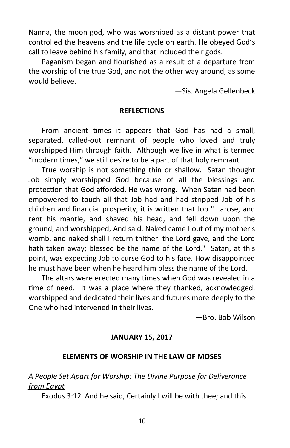Nanna, the moon god, who was worshiped as a distant power that controlled the heavens and the life cycle on earth. He obeyed God's call to leave behind his family, and that included their gods.

Paganism began and flourished as a result of a departure from the worship of the true God, and not the other way around, as some would believe.

—Sis. Angela Gellenbeck

#### **REFLECTIONS**

From ancient times it appears that God has had a small, separated, called-out remnant of people who loved and truly worshipped Him through faith. Although we live in what is termed "modern times," we still desire to be a part of that holy remnant.

True worship is not something thin or shallow. Satan thought Job simply worshipped God because of all the blessings and protection that God afforded. He was wrong. When Satan had been empowered to touch all that Job had and had stripped Job of his children and financial prosperity, it is written that Job "...arose, and rent his mantle, and shaved his head, and fell down upon the ground, and worshipped, And said, Naked came I out of my mother's womb, and naked shall I return thither: the Lord gave, and the Lord hath taken away; blessed be the name of the Lord." Satan, at this point, was expecting Job to curse God to his face. How disappointed he must have been when he heard him bless the name of the Lord.

The altars were erected many times when God was revealed in a time of need. It was a place where they thanked, acknowledged, worshipped and dedicated their lives and futures more deeply to the One who had intervened in their lives.

—Bro. Bob Wilson

#### **JANUARY 15, 2017**

#### **ELEMENTS OF WORSHIP IN THE LAW OF MOSES**

# *A People Set Apart for Worship: The Divine Purpose for Deliverance from Egypt*

Exodus 3:12 And he said, Certainly I will be with thee; and this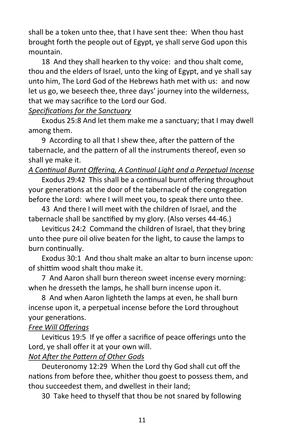shall be a token unto thee, that I have sent thee: When thou hast brought forth the people out of Egypt, ye shall serve God upon this mountain.

18 And they shall hearken to thy voice: and thou shalt come, thou and the elders of Israel, unto the king of Egypt, and ye shall say unto him, The Lord God of the Hebrews hath met with us: and now let us go, we beseech thee, three days' journey into the wilderness, that we may sacrifice to the Lord our God.

# *Specifications for the Sanctuary*

Exodus 25:8 And let them make me a sanctuary; that I may dwell among them.

9 According to all that I shew thee, after the pattern of the tabernacle, and the pattern of all the instruments thereof, even so shall ye make it.

# *A Continual Burnt Offering, A Continual Light and a Perpetual Incense*

Exodus 29:42 This shall be a continual burnt offering throughout your generations at the door of the tabernacle of the congregation before the Lord: where I will meet you, to speak there unto thee.

43 And there I will meet with the children of Israel, and the tabernacle shall be sanctified by my glory. (Also verses 44-46.)

Leviticus 24:2 Command the children of Israel, that they bring unto thee pure oil olive beaten for the light, to cause the lamps to burn continually.

Exodus 30:1 And thou shalt make an altar to burn incense upon: of shittim wood shalt thou make it.

7 And Aaron shall burn thereon sweet incense every morning: when he dresseth the lamps, he shall burn incense upon it.

8 And when Aaron lighteth the lamps at even, he shall burn incense upon it, a perpetual incense before the Lord throughout your generations.

# *Free Will Offerings*

Leviticus 19:5 If ye offer a sacrifice of peace offerings unto the Lord, ye shall offer it at your own will.

# *Not After the Pattern of Other Gods*

Deuteronomy 12:29 When the Lord thy God shall cut off the nations from before thee, whither thou goest to possess them, and thou succeedest them, and dwellest in their land;

30 Take heed to thyself that thou be not snared by following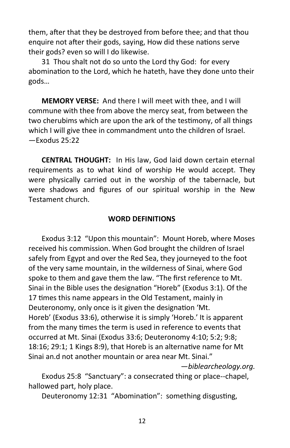them, after that they be destroyed from before thee; and that thou enquire not after their gods, saying, How did these nations serve their gods? even so will I do likewise.

31 Thou shalt not do so unto the Lord thy God: for every abomination to the Lord, which he hateth, have they done unto their gods…

**MEMORY VERSE:** And there I will meet with thee, and I will commune with thee from above the mercy seat, from between the two cherubims which are upon the ark of the testimony, of all things which I will give thee in commandment unto the children of Israel. —Exodus 25:22

**CENTRAL THOUGHT:** In His law, God laid down certain eternal requirements as to what kind of worship He would accept. They were physically carried out in the worship of the tabernacle, but were shadows and figures of our spiritual worship in the New Testament church.

#### **WORD DEFINITIONS**

Exodus 3:12 "Upon this mountain": Mount Horeb, where Moses received his commission. When God brought the children of Israel safely from Egypt and over the Red Sea, they journeyed to the foot of the very same mountain, in the wilderness of Sinai, where God spoke to them and gave them the law. "The first reference to Mt. Sinai in the Bible uses the designation "Horeb" (Exodus 3:1). Of the 17 times this name appears in the Old Testament, mainly in Deuteronomy, only once is it given the designation 'Mt. Horeb' (Exodus 33:6), otherwise it is simply 'Horeb.' It is apparent from the many times the term is used in reference to events that occurred at Mt. Sinai (Exodus 33:6; Deuteronomy 4:10; 5:2; 9:8; 18:16; 29:1; 1 Kings 8:9), that Horeb is an alternative name for Mt Sinai an.d not another mountain or area near Mt. Sinai."

—*biblearcheology.org.*

Exodus 25:8 "Sanctuary": a consecrated thing or place--chapel, hallowed part, holy place.

Deuteronomy 12:31 "Abomination": something disgusting,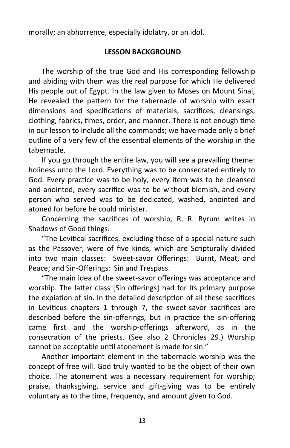morally; an abhorrence, especially idolatry, or an idol.

# **LESSON BACKGROUND**

The worship of the true God and His corresponding fellowship and abiding with them was the real purpose for which He delivered His people out of Egypt. In the law given to Moses on Mount Sinai, He revealed the pattern for the tabernacle of worship with exact dimensions and specifications of materials, sacrifices, cleansings, clothing, fabrics, times, order, and manner. There is not enough time in our lesson to include all the commands; we have made only a brief outline of a very few of the essential elements of the worship in the tabernacle.

If you go through the entire law, you will see a prevailing theme: holiness unto the Lord. Everything was to be consecrated entirely to God. Every practice was to be holy, every item was to be cleansed and anointed, every sacrifice was to be without blemish, and every person who served was to be dedicated, washed, anointed and atoned for before he could minister.

Concerning the sacrifices of worship, R. R. Byrum writes in Shadows of Good things:

"The Levitical sacrifices, excluding those of a special nature such as the Passover, were of five kinds, which are Scripturally divided into two main classes: Sweet-savor Offerings: Burnt, Meat, and Peace; and Sin-Offerings: Sin and Trespass.

"The main idea of the sweet-savor offerings was acceptance and worship. The latter class [Sin offerings] had for its primary purpose the expiation of sin. In the detailed description of all these sacrifices in Leviticus chapters 1 through 7, the sweet-savor sacrifices are described before the sin-offerings, but in practice the sin-offering came first and the worship-offerings afterward, as in the consecration of the priests. (See also 2 Chronicles 29.) Worship cannot be acceptable until atonement is made for sin."

Another important element in the tabernacle worship was the concept of free will. God truly wanted to be the object of their own choice. The atonement was a necessary requirement for worship; praise, thanksgiving, service and gift-giving was to be entirely voluntary as to the time, frequency, and amount given to God.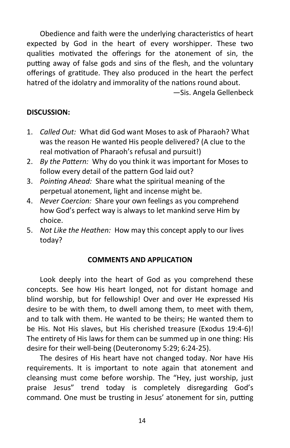Obedience and faith were the underlying characteristics of heart expected by God in the heart of every worshipper. These two qualities motivated the offerings for the atonement of sin, the putting away of false gods and sins of the flesh, and the voluntary offerings of gratitude. They also produced in the heart the perfect hatred of the idolatry and immorality of the nations round about.

—Sis. Angela Gellenbeck

# **DISCUSSION:**

- 1. *Called Out:* What did God want Moses to ask of Pharaoh? What was the reason He wanted His people delivered? (A clue to the real motivation of Pharaoh's refusal and pursuit!)
- 2. *By the Pattern:* Why do you think it was important for Moses to follow every detail of the pattern God laid out?
- 3. *Pointing Ahead:* Share what the spiritual meaning of the perpetual atonement, light and incense might be.
- 4. *Never Coercion:* Share your own feelings as you comprehend how God's perfect way is always to let mankind serve Him by choice.
- 5. *Not Like the Heathen:* How may this concept apply to our lives today?

#### **COMMENTS AND APPLICATION**

Look deeply into the heart of God as you comprehend these concepts. See how His heart longed, not for distant homage and blind worship, but for fellowship! Over and over He expressed His desire to be with them, to dwell among them, to meet with them, and to talk with them. He wanted to be theirs; He wanted them to be His. Not His slaves, but His cherished treasure (Exodus 19:4-6)! The entirety of His laws for them can be summed up in one thing: His desire for their well-being (Deuteronomy 5:29; 6:24-25).

The desires of His heart have not changed today. Nor have His requirements. It is important to note again that atonement and cleansing must come before worship. The "Hey, just worship, just praise Jesus" trend today is completely disregarding God's command. One must be trusting in Jesus' atonement for sin, putting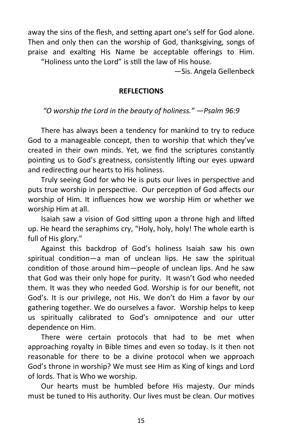away the sins of the flesh, and setting apart one's self for God alone. Then and only then can the worship of God, thanksgiving, songs of praise and exalting His Name be acceptable offerings to Him. "Holiness unto the Lord" is still the law of His house.

—Sis. Angela Gellenbeck

#### **REFLECTIONS**

*"O worship the Lord in the beauty of holiness." —Psalm 96:9*

There has always been a tendency for mankind to try to reduce God to a manageable concept, then to worship that which they've created in their own minds. Yet, we find the scriptures constantly pointing us to God's greatness, consistently lifting our eyes upward and redirecting our hearts to His holiness.

Truly seeing God for who He is puts our lives in perspective and puts true worship in perspective. Our perception of God affects our worship of Him. It influences how we worship Him or whether we worship Him at all.

Isaiah saw a vision of God sitting upon a throne high and lifted up. He heard the seraphims cry, "Holy, holy, holy! The whole earth is full of His glory."

Against this backdrop of God's holiness Isaiah saw his own spiritual condition—a man of unclean lips. He saw the spiritual condition of those around him—people of unclean lips. And he saw that God was their only hope for purity. It wasn't God who needed them. It was they who needed God. Worship is for our benefit, not God's. It is our privilege, not His. We don't do Him a favor by our gathering together. We do ourselves a favor. Worship helps to keep us spiritually calibrated to God's omnipotence and our utter dependence on Him.

There were certain protocols that had to be met when approaching royalty in Bible times and even so today. Is it then not reasonable for there to be a divine protocol when we approach God's throne in worship? We must see Him as King of kings and Lord of lords. That is Who we worship.

Our hearts must be humbled before His majesty. Our minds must be tuned to His authority. Our lives must be clean. Our motives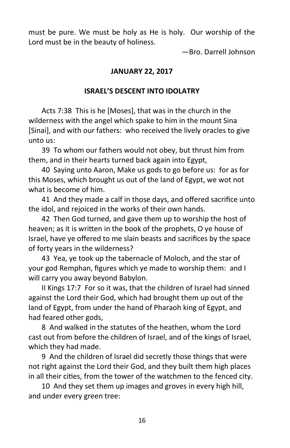must be pure. We must be holy as He is holy. Our worship of the Lord must be in the beauty of holiness.

—Bro. Darrell Johnson

## **JANUARY 22, 2017**

#### **ISRAEL'S DESCENT INTO IDOLATRY**

Acts 7:38 This is he [Moses], that was in the church in the wilderness with the angel which spake to him in the mount Sina [Sinai], and with our fathers: who received the lively oracles to give unto us:

39 To whom our fathers would not obey, but thrust him from them, and in their hearts turned back again into Egypt,

40 Saying unto Aaron, Make us gods to go before us: for as for this Moses, which brought us out of the land of Egypt, we wot not what is become of him.

41 And they made a calf in those days, and offered sacrifice unto the idol, and rejoiced in the works of their own hands.

42 Then God turned, and gave them up to worship the host of heaven; as it is written in the book of the prophets, O ye house of Israel, have ye offered to me slain beasts and sacrifices by the space of forty years in the wilderness?

43 Yea, ye took up the tabernacle of Moloch, and the star of your god Remphan, figures which ye made to worship them: and I will carry you away beyond Babylon.

II Kings 17:7 For so it was, that the children of Israel had sinned against the Lord their God, which had brought them up out of the land of Egypt, from under the hand of Pharaoh king of Egypt, and had feared other gods,

8 And walked in the statutes of the heathen, whom the Lord cast out from before the children of Israel, and of the kings of Israel, which they had made.

9 And the children of Israel did secretly those things that were not right against the Lord their God, and they built them high places in all their cities, from the tower of the watchmen to the fenced city.

10 And they set them up images and groves in every high hill, and under every green tree: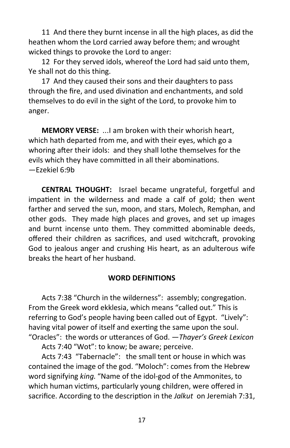11 And there they burnt incense in all the high places, as did the heathen whom the Lord carried away before them; and wrought wicked things to provoke the Lord to anger:

12 For they served idols, whereof the Lord had said unto them, Ye shall not do this thing.

17 And they caused their sons and their daughters to pass through the fire, and used divination and enchantments, and sold themselves to do evil in the sight of the Lord, to provoke him to anger.

**MEMORY VERSE:** ...I am broken with their whorish heart, which hath departed from me, and with their eyes, which go a whoring after their idols: and they shall lothe themselves for the evils which they have committed in all their abominations. —Ezekiel 6:9b

**CENTRAL THOUGHT:** Israel became ungrateful, forgetful and impatient in the wilderness and made a calf of gold; then went farther and served the sun, moon, and stars, Molech, Remphan, and other gods. They made high places and groves, and set up images and burnt incense unto them. They committed abominable deeds, offered their children as sacrifices, and used witchcraft, provoking God to jealous anger and crushing His heart, as an adulterous wife breaks the heart of her husband.

# **WORD DEFINITIONS**

Acts 7:38 "Church in the wilderness": assembly; congregation. From the Greek word ekklesia, which means "called out." This is referring to God's people having been called out of Egypt. "Lively": having vital power of itself and exerting the same upon the soul. "Oracles": the words or utterances of God. —*Thayer's Greek Lexicon*

Acts 7:40 "Wot": to know; be aware; perceive.

Acts 7:43 "Tabernacle": the small tent or house in which was contained the image of the god. "Moloch": comes from the Hebrew word signifying *king*. "Name of the idol-god of the Ammonites, to which human victims, particularly young children, were offered in sacrifice. According to the description in the *Jalkut* on Jeremiah 7:31,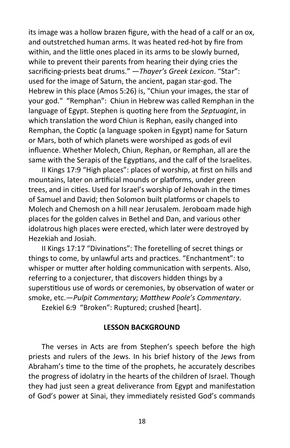its image was a hollow brazen figure, with the head of a calf or an ox, and outstretched human arms. It was heated red-hot by fire from within, and the little ones placed in its arms to be slowly burned, while to prevent their parents from hearing their dying cries the sacrificing-priests beat drums." —*Thayer's Greek Lexicon*. "Star": used for the image of Saturn, the ancient, pagan star-god. The Hebrew in this place (Amos 5:26) is, "Chiun your images, the star of your god." "Remphan": Chiun in Hebrew was called Remphan in the language of Egypt. Stephen is quoting here from the *Septuagint*, in which translation the word Chiun is Rephan, easily changed into Remphan, the Coptic (a language spoken in Egypt) name for Saturn or Mars, both of which planets were worshiped as gods of evil influence. Whether Molech, Chiun, Rephan, or Remphan, all are the same with the Serapis of the Egyptians, and the calf of the Israelites.

II Kings 17:9 "High places": places of worship, at first on hills and mountains, later on artificial mounds or platforms, under green trees, and in cities. Used for Israel's worship of Jehovah in the times of Samuel and David; then Solomon built platforms or chapels to Molech and Chemosh on a hill near Jerusalem. Jeroboam made high places for the golden calves in Bethel and Dan, and various other idolatrous high places were erected, which later were destroyed by Hezekiah and Josiah.

II Kings 17:17 "Divinations": The foretelling of secret things or things to come, by unlawful arts and practices. "Enchantment": to whisper or mutter after holding communication with serpents. Also, referring to a conjecturer, that discovers hidden things by a superstitious use of words or ceremonies, by observation of water or smoke, etc.—*Pulpit Commentary; Matthew Poole's Commentary*.

Ezekiel 6:9 "Broken": Ruptured; crushed [heart].

#### **LESSON BACKGROUND**

The verses in Acts are from Stephen's speech before the high priests and rulers of the Jews. In his brief history of the Jews from Abraham's time to the time of the prophets, he accurately describes the progress of idolatry in the hearts of the children of Israel. Though they had just seen a great deliverance from Egypt and manifestation of God's power at Sinai, they immediately resisted God's commands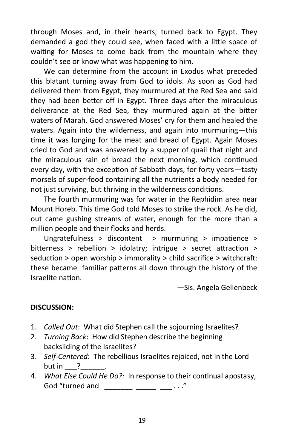through Moses and, in their hearts, turned back to Egypt. They demanded a god they could see, when faced with a little space of waiting for Moses to come back from the mountain where they couldn't see or know what was happening to him.

We can determine from the account in Exodus what preceded this blatant turning away from God to idols. As soon as God had delivered them from Egypt, they murmured at the Red Sea and said they had been better off in Egypt. Three days after the miraculous deliverance at the Red Sea, they murmured again at the bitter waters of Marah. God answered Moses' cry for them and healed the waters. Again into the wilderness, and again into murmuring—this time it was longing for the meat and bread of Egypt. Again Moses cried to God and was answered by a supper of quail that night and the miraculous rain of bread the next morning, which continued every day, with the exception of Sabbath days, for forty years—tasty morsels of super-food containing all the nutrients a body needed for not just surviving, but thriving in the wilderness conditions.

The fourth murmuring was for water in the Rephidim area near Mount Horeb. This time God told Moses to strike the rock. As he did, out came gushing streams of water, enough for the more than a million people and their flocks and herds.

Ungratefulness > discontent > murmuring > impatience > bitterness > rebellion > idolatry; intrigue > secret attraction > seduction > open worship > immorality > child sacrifice > witchcraft: these became familiar patterns all down through the history of the Israelite nation.

—Sis. Angela Gellenbeck

# **DISCUSSION:**

- 1. *Called Out*: What did Stephen call the sojourning Israelites?
- 2. *Turning Back*: How did Stephen describe the beginning backsliding of the Israelites?
- 3. *Self-Centered*: The rebellious Israelites rejoiced, not in the Lord but in  $\_\$ ?
- 4. *What Else Could He Do?:* In response to their continual apostasy, God "turned and \_\_\_\_\_\_\_ \_\_\_\_ \_\_\_\_ ..."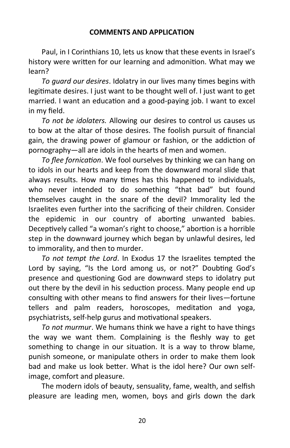#### **COMMENTS AND APPLICATION**

Paul, in I Corinthians 10, lets us know that these events in Israel's history were written for our learning and admonition. What may we learn?

*To guard our desires*. Idolatry in our lives many times begins with legitimate desires. I just want to be thought well of. I just want to get married. I want an education and a good-paying job. I want to excel in my field.

*To not be idolaters.* Allowing our desires to control us causes us to bow at the altar of those desires. The foolish pursuit of financial gain, the drawing power of glamour or fashion, or the addiction of pornography—all are idols in the hearts of men and women.

*To flee fornication*. We fool ourselves by thinking we can hang on to idols in our hearts and keep from the downward moral slide that always results. How many times has this happened to individuals, who never intended to do something "that bad" but found themselves caught in the snare of the devil? Immorality led the Israelites even further into the sacrificing of their children. Consider the epidemic in our country of aborting unwanted babies. Deceptively called "a woman's right to choose," abortion is a horrible step in the downward journey which began by unlawful desires, led to immorality, and then to murder.

*To not tempt the Lord*. In Exodus 17 the Israelites tempted the Lord by saying, "Is the Lord among us, or not?" Doubting God's presence and questioning God are downward steps to idolatry put out there by the devil in his seduction process. Many people end up consulting with other means to find answers for their lives—fortune tellers and palm readers, horoscopes, meditation and yoga, psychiatrists, self-help gurus and motivational speakers.

*To not murmur*. We humans think we have a right to have things the way we want them. Complaining is the fleshly way to get something to change in our situation. It is a way to throw blame, punish someone, or manipulate others in order to make them look bad and make us look better. What is the idol here? Our own selfimage, comfort and pleasure.

The modern idols of beauty, sensuality, fame, wealth, and selfish pleasure are leading men, women, boys and girls down the dark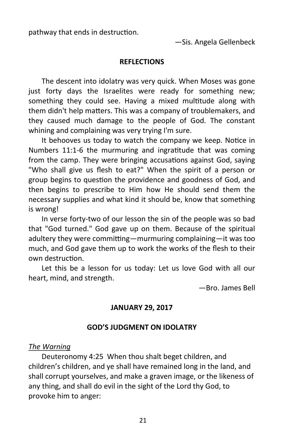pathway that ends in destruction.

—Sis. Angela Gellenbeck

#### **REFLECTIONS**

The descent into idolatry was very quick. When Moses was gone just forty days the Israelites were ready for something new; something they could see. Having a mixed multitude along with them didn't help matters. This was a company of troublemakers, and they caused much damage to the people of God. The constant whining and complaining was very trying I'm sure.

It behooves us today to watch the company we keep. Notice in Numbers 11:1-6 the murmuring and ingratitude that was coming from the camp. They were bringing accusations against God, saying "Who shall give us flesh to eat?" When the spirit of a person or group begins to question the providence and goodness of God, and then begins to prescribe to Him how He should send them the necessary supplies and what kind it should be, know that something is wrong!

In verse forty-two of our lesson the sin of the people was so bad that "God turned." God gave up on them. Because of the spiritual adultery they were committing—murmuring complaining—it was too much, and God gave them up to work the works of the flesh to their own destruction.

Let this be a lesson for us today: Let us love God with all our heart, mind, and strength.

—Bro. James Bell

#### **JANUARY 29, 2017**

#### **GOD'S JUDGMENT ON IDOLATRY**

#### *The Warning*

Deuteronomy 4:25 When thou shalt beget children, and children's children, and ye shall have remained long in the land, and shall corrupt yourselves, and make a graven image, or the likeness of any thing, and shall do evil in the sight of the Lord thy God, to provoke him to anger: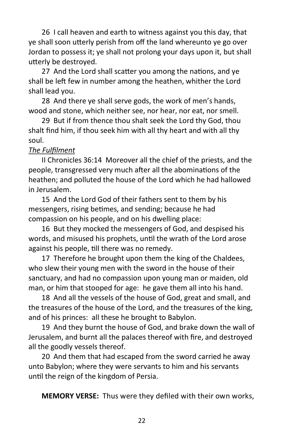26 I call heaven and earth to witness against you this day, that ye shall soon utterly perish from off the land whereunto ye go over Jordan to possess it; ye shall not prolong your days upon it, but shall utterly be destroyed.

27 And the Lord shall scatter you among the nations, and ye shall be left few in number among the heathen, whither the Lord shall lead you.

28 And there ye shall serve gods, the work of men's hands, wood and stone, which neither see, nor hear, nor eat, nor smell.

29 But if from thence thou shalt seek the Lord thy God, thou shalt find him, if thou seek him with all thy heart and with all thy soul.

# *The Fulfilment*

II Chronicles 36:14 Moreover all the chief of the priests, and the people, transgressed very much after all the abominations of the heathen; and polluted the house of the Lord which he had hallowed in Jerusalem.

15 And the Lord God of their fathers sent to them by his messengers, rising betimes, and sending; because he had compassion on his people, and on his dwelling place:

16 But they mocked the messengers of God, and despised his words, and misused his prophets, until the wrath of the Lord arose against his people, till there was no remedy.

17 Therefore he brought upon them the king of the Chaldees, who slew their young men with the sword in the house of their sanctuary, and had no compassion upon young man or maiden, old man, or him that stooped for age: he gave them all into his hand.

18 And all the vessels of the house of God, great and small, and the treasures of the house of the Lord, and the treasures of the king, and of his princes: all these he brought to Babylon.

19 And they burnt the house of God, and brake down the wall of Jerusalem, and burnt all the palaces thereof with fire, and destroyed all the goodly vessels thereof.

20 And them that had escaped from the sword carried he away unto Babylon; where they were servants to him and his servants until the reign of the kingdom of Persia.

**MEMORY VERSE:** Thus were they defiled with their own works,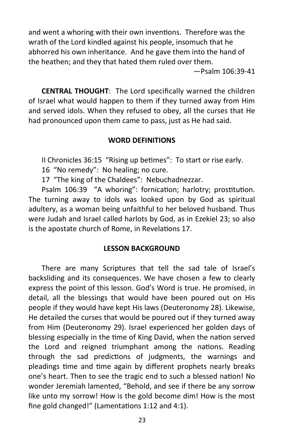and went a whoring with their own inventions. Therefore was the wrath of the Lord kindled against his people, insomuch that he abhorred his own inheritance. And he gave them into the hand of the heathen; and they that hated them ruled over them.

—Psalm 106:39-41

**CENTRAL THOUGHT**: The Lord specifically warned the children of Israel what would happen to them if they turned away from Him and served idols. When they refused to obey, all the curses that He had pronounced upon them came to pass, just as He had said.

# **WORD DEFINITIONS**

II Chronicles 36:15 "Rising up betimes": To start or rise early.

16 "No remedy": No healing; no cure.

17 "The king of the Chaldees": Nebuchadnezzar.

Psalm 106:39 "A whoring": fornication; harlotry; prostitution. The turning away to idols was looked upon by God as spiritual adultery, as a woman being unfaithful to her beloved husband. Thus were Judah and Israel called harlots by God, as in Ezekiel 23; so also is the apostate church of Rome, in Revelations 17.

# **LESSON BACKGROUND**

There are many Scriptures that tell the sad tale of Israel's backsliding and its consequences. We have chosen a few to clearly express the point of this lesson. God's Word is true. He promised, in detail, all the blessings that would have been poured out on His people if they would have kept His laws (Deuteronomy 28). Likewise, He detailed the curses that would be poured out if they turned away from Him (Deuteronomy 29). Israel experienced her golden days of blessing especially in the time of King David, when the nation served the Lord and reigned triumphant among the nations. Reading through the sad predictions of judgments, the warnings and pleadings time and time again by different prophets nearly breaks one's heart. Then to see the tragic end to such a blessed nation! No wonder Jeremiah lamented, "Behold, and see if there be any sorrow like unto my sorrow! How is the gold become dim! How is the most fine gold changed!" (Lamentations 1:12 and 4:1).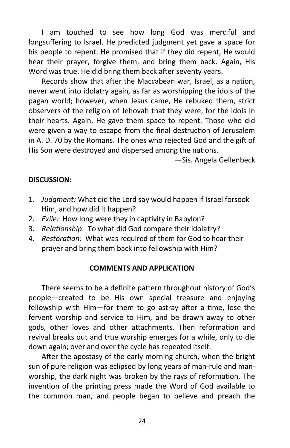I am touched to see how long God was merciful and longsuffering to Israel. He predicted judgment yet gave a space for his people to repent. He promised that if they did repent, He would hear their prayer, forgive them, and bring them back. Again, His Word was true. He did bring them back after seventy years.

Records show that after the Maccabean war, Israel, as a nation, never went into idolatry again, as far as worshipping the idols of the pagan world; however, when Jesus came, He rebuked them, strict observers of the religion of Jehovah that they were, for the idols in their hearts. Again, He gave them space to repent. Those who did were given a way to escape from the final destruction of Jerusalem in A. D. 70 by the Romans. The ones who rejected God and the gift of His Son were destroyed and dispersed among the nations.

—Sis. Angela Gellenbeck

# **DISCUSSION:**

- 1. *Judgment:* What did the Lord say would happen if Israel forsook Him, and how did it happen?
- 2. *Exile:* How long were they in captivity in Babylon?
- 3. *Relationship*: To what did God compare their idolatry?
- 4. *Restoration:* What was required of them for God to hear their prayer and bring them back into fellowship with Him?

# **COMMENTS AND APPLICATION**

There seems to be a definite pattern throughout history of God's people—created to be His own special treasure and enjoying fellowship with Him—for them to go astray after a time, lose the fervent worship and service to Him, and be drawn away to other gods, other loves and other attachments. Then reformation and revival breaks out and true worship emerges for a while, only to die down again; over and over the cycle has repeated itself.

After the apostasy of the early morning church, when the bright sun of pure religion was eclipsed by long years of man-rule and manworship, the dark night was broken by the rays of reformation. The invention of the printing press made the Word of God available to the common man, and people began to believe and preach the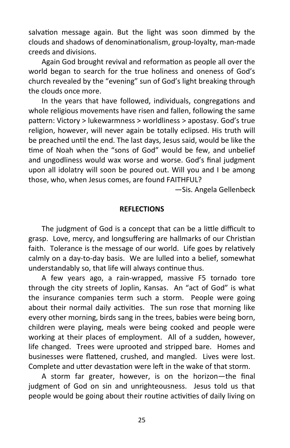salvation message again. But the light was soon dimmed by the clouds and shadows of denominationalism, group-loyalty, man-made creeds and divisions.

Again God brought revival and reformation as people all over the world began to search for the true holiness and oneness of God's church revealed by the "evening" sun of God's light breaking through the clouds once more.

In the years that have followed, individuals, congregations and whole religious movements have risen and fallen, following the same pattern: Victory > lukewarmness > worldliness > apostasy. God's true religion, however, will never again be totally eclipsed. His truth will be preached until the end. The last days, Jesus said, would be like the time of Noah when the "sons of God" would be few, and unbelief and ungodliness would wax worse and worse. God's final judgment upon all idolatry will soon be poured out. Will you and I be among those, who, when Jesus comes, are found FAITHFUL?

—Sis. Angela Gellenbeck

#### **REFLECTIONS**

The judgment of God is a concept that can be a little difficult to grasp. Love, mercy, and longsuffering are hallmarks of our Christian faith. Tolerance is the message of our world. Life goes by relatively calmly on a day-to-day basis. We are lulled into a belief, somewhat understandably so, that life will always continue thus.

A few years ago, a rain-wrapped, massive F5 tornado tore through the city streets of Joplin, Kansas. An "act of God" is what the insurance companies term such a storm. People were going about their normal daily activities. The sun rose that morning like every other morning, birds sang in the trees, babies were being born, children were playing, meals were being cooked and people were working at their places of employment. All of a sudden, however, life changed. Trees were uprooted and stripped bare. Homes and businesses were flattened, crushed, and mangled. Lives were lost. Complete and utter devastation were left in the wake of that storm.

A storm far greater, however, is on the horizon—the final judgment of God on sin and unrighteousness. Jesus told us that people would be going about their routine activities of daily living on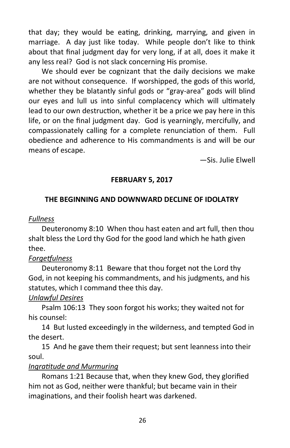that day; they would be eating, drinking, marrying, and given in marriage. A day just like today. While people don't like to think about that final judgment day for very long, if at all, does it make it any less real? God is not slack concerning His promise.

We should ever be cognizant that the daily decisions we make are not without consequence. If worshipped, the gods of this world, whether they be blatantly sinful gods or "gray-area" gods will blind our eyes and lull us into sinful complacency which will ultimately lead to our own destruction, whether it be a price we pay here in this life, or on the final judgment day. God is yearningly, mercifully, and compassionately calling for a complete renunciation of them. Full obedience and adherence to His commandments is and will be our means of escape.

—Sis. Julie Elwell

# **FEBRUARY 5, 2017**

# **THE BEGINNING AND DOWNWARD DECLINE OF IDOLATRY**

# *Fullness*

Deuteronomy 8:10 When thou hast eaten and art full, then thou shalt bless the Lord thy God for the good land which he hath given thee.

# *Forgetfulness*

Deuteronomy 8:11 Beware that thou forget not the Lord thy God, in not keeping his commandments, and his judgments, and his statutes, which I command thee this day.

# *Unlawful Desires*

Psalm 106:13 They soon forgot his works; they waited not for his counsel:

14 But lusted exceedingly in the wilderness, and tempted God in the desert.

15 And he gave them their request; but sent leanness into their soul.

# *Ingratitude and Murmuring*

Romans 1:21 Because that, when they knew God, they glorified him not as God, neither were thankful; but became vain in their imaginations, and their foolish heart was darkened.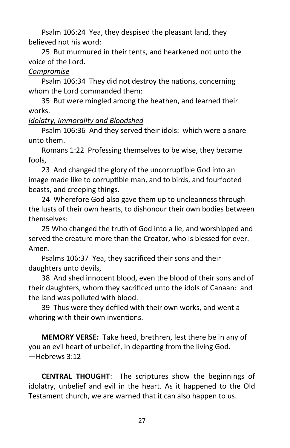Psalm 106:24 Yea, they despised the pleasant land, they believed not his word:

25 But murmured in their tents, and hearkened not unto the voice of the Lord.

# *Compromise*

Psalm 106:34 They did not destroy the nations, concerning whom the Lord commanded them:

35 But were mingled among the heathen, and learned their works.

# *Idolatry, Immorality and Bloodshed*

Psalm 106:36 And they served their idols: which were a snare unto them.

Romans 1:22 Professing themselves to be wise, they became fools,

23 And changed the glory of the uncorruptible God into an image made like to corruptible man, and to birds, and fourfooted beasts, and creeping things.

24 Wherefore God also gave them up to uncleanness through the lusts of their own hearts, to dishonour their own bodies between themselves:

25 Who changed the truth of God into a lie, and worshipped and served the creature more than the Creator, who is blessed for ever. Amen.

Psalms 106:37 Yea, they sacrificed their sons and their daughters unto devils,

38 And shed innocent blood, even the blood of their sons and of their daughters, whom they sacrificed unto the idols of Canaan: and the land was polluted with blood.

39 Thus were they defiled with their own works, and went a whoring with their own inventions.

**MEMORY VERSE:** Take heed, brethren, lest there be in any of you an evil heart of unbelief, in departing from the living God. —Hebrews 3:12

**CENTRAL THOUGHT**: The scriptures show the beginnings of idolatry, unbelief and evil in the heart. As it happened to the Old Testament church, we are warned that it can also happen to us.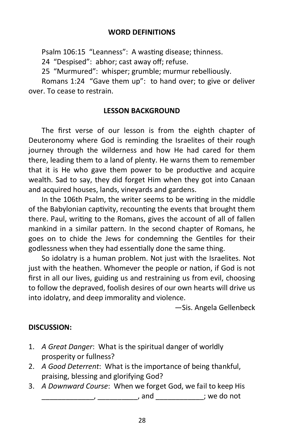### **WORD DEFINITIONS**

Psalm 106:15 "Leanness": A wasting disease; thinness.

24 "Despised": abhor; cast away off; refuse.

25 "Murmured": whisper; grumble; murmur rebelliously.

Romans 1:24 "Gave them up": to hand over; to give or deliver over. To cease to restrain.

#### **LESSON BACKGROUND**

The first verse of our lesson is from the eighth chapter of Deuteronomy where God is reminding the Israelites of their rough journey through the wilderness and how He had cared for them there, leading them to a land of plenty. He warns them to remember that it is He who gave them power to be productive and acquire wealth. Sad to say, they did forget Him when they got into Canaan and acquired houses, lands, vineyards and gardens.

In the 106th Psalm, the writer seems to be writing in the middle of the Babylonian captivity, recounting the events that brought them there. Paul, writing to the Romans, gives the account of all of fallen mankind in a similar pattern. In the second chapter of Romans, he goes on to chide the Jews for condemning the Gentiles for their godlessness when they had essentially done the same thing.

So idolatry is a human problem. Not just with the Israelites. Not just with the heathen. Whomever the people or nation, if God is not first in all our lives, guiding us and restraining us from evil, choosing to follow the depraved, foolish desires of our own hearts will drive us into idolatry, and deep immorality and violence.

—Sis. Angela Gellenbeck

# **DISCUSSION:**

- 1. *A Great Danger*: What is the spiritual danger of worldly prosperity or fullness?
- 2. *A Good Deterrent*: What is the importance of being thankful, praising, blessing and glorifying God?
- 3. *A Downward Course*: When we forget God, we fail to keep His \_\_\_\_\_\_\_\_\_\_\_\_\_, \_\_\_\_\_\_\_\_\_\_, and \_\_\_\_\_\_\_\_\_\_\_\_; we do not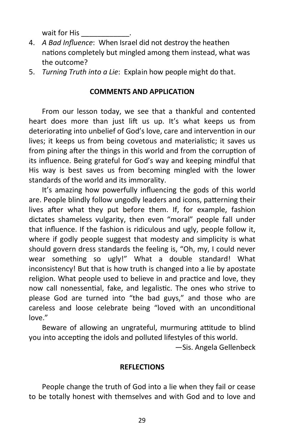wait for His

- 4. *A Bad Influence*: When Israel did not destroy the heathen nations completely but mingled among them instead, what was the outcome?
- 5. *Turning Truth into a Lie*: Explain how people might do that.

#### **COMMENTS AND APPLICATION**

From our lesson today, we see that a thankful and contented heart does more than just lift us up. It's what keeps us from deteriorating into unbelief of God's love, care and intervention in our lives; it keeps us from being covetous and materialistic; it saves us from pining after the things in this world and from the corruption of its influence. Being grateful for God's way and keeping mindful that His way is best saves us from becoming mingled with the lower standards of the world and its immorality.

It's amazing how powerfully influencing the gods of this world are. People blindly follow ungodly leaders and icons, patterning their lives after what they put before them. If, for example, fashion dictates shameless vulgarity, then even "moral" people fall under that influence. If the fashion is ridiculous and ugly, people follow it, where if godly people suggest that modesty and simplicity is what should govern dress standards the feeling is, "Oh, my, I could never wear something so ugly!" What a double standard! What inconsistency! But that is how truth is changed into a lie by apostate religion. What people used to believe in and practice and love, they now call nonessential, fake, and legalistic. The ones who strive to please God are turned into "the bad guys," and those who are careless and loose celebrate being "loved with an unconditional love."

Beware of allowing an ungrateful, murmuring attitude to blind you into accepting the idols and polluted lifestyles of this world.

—Sis. Angela Gellenbeck

#### **REFLECTIONS**

People change the truth of God into a lie when they fail or cease to be totally honest with themselves and with God and to love and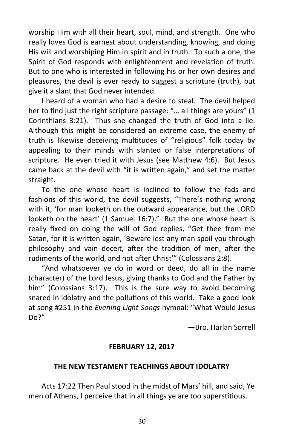worship Him with all their heart, soul, mind, and strength. One who really loves God is earnest about understanding, knowing, and doing His will and worshiping Him in spirit and in truth. To such a one, the Spirit of God responds with enlightenment and revelation of truth. But to one who is interested in following his or her own desires and pleasures, the devil is ever ready to suggest a scripture (truth), but give it a slant that God never intended.

I heard of a woman who had a desire to steal. The devil helped her to find just the right scripture passage: "… all things are yours" (1 Corinthians 3:21). Thus she changed the truth of God into a lie. Although this might be considered an extreme case, the enemy of truth is likewise deceiving multitudes of "religious" folk today by appealing to their minds with slanted or false interpretations of scripture. He even tried it with Jesus (see Matthew 4:6). But Jesus came back at the devil with "it is written again," and set the matter straight.

To the one whose heart is inclined to follow the fads and fashions of this world, the devil suggests, "There's nothing wrong with it, 'for man looketh on the outward appearance, but the LORD looketh on the heart' (1 Samuel 16:7)." But the one whose heart is really fixed on doing the will of God replies, "Get thee from me Satan, for it is written again, 'Beware lest any man spoil you through philosophy and vain deceit, after the tradition of men, after the rudiments of the world, and not after Christ'" (Colossians 2:8).

"And whatsoever ye do in word or deed, do all in the name (character) of the Lord Jesus, giving thanks to God and the Father by him" (Colossians 3:17). This is the sure way to avoid becoming snared in idolatry and the pollutions of this world. Take a good look at song #251 in the *Evening Light Songs* hymnal: "What Would Jesus Do?"

—Bro. Harlan Sorrell

#### **FEBRUARY 12, 2017**

#### **THE NEW TESTAMENT TEACHINGS ABOUT IDOLATRY**

Acts 17:22 Then Paul stood in the midst of Mars' hill, and said, Ye men of Athens, I perceive that in all things ye are too superstitious.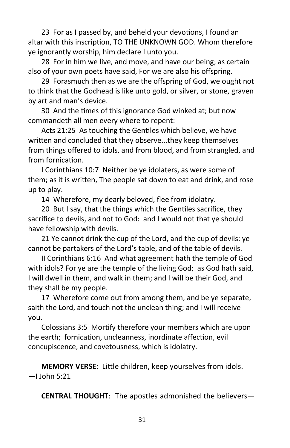23 For as I passed by, and beheld your devotions, I found an altar with this inscription, TO THE UNKNOWN GOD. Whom therefore ye ignorantly worship, him declare I unto you.

28 For in him we live, and move, and have our being; as certain also of your own poets have said, For we are also his offspring.

29 Forasmuch then as we are the offspring of God, we ought not to think that the Godhead is like unto gold, or silver, or stone, graven by art and man's device.

30 And the times of this ignorance God winked at; but now commandeth all men every where to repent:

Acts 21:25 As touching the Gentiles which believe, we have written and concluded that they observe...they keep themselves from things offered to idols, and from blood, and from strangled, and from fornication.

I Corinthians 10:7 Neither be ye idolaters, as were some of them; as it is written, The people sat down to eat and drink, and rose up to play.

14 Wherefore, my dearly beloved, flee from idolatry.

20 But I say, that the things which the Gentiles sacrifice, they sacrifice to devils, and not to God: and I would not that ye should have fellowship with devils.

21 Ye cannot drink the cup of the Lord, and the cup of devils: ye cannot be partakers of the Lord's table, and of the table of devils.

II Corinthians 6:16 And what agreement hath the temple of God with idols? For ye are the temple of the living God; as God hath said, I will dwell in them, and walk in them; and I will be their God, and they shall be my people.

17 Wherefore come out from among them, and be ye separate, saith the Lord, and touch not the unclean thing; and I will receive you.

Colossians 3:5 Mortify therefore your members which are upon the earth; fornication, uncleanness, inordinate affection, evil concupiscence, and covetousness, which is idolatry.

**MEMORY VERSE**: Little children, keep yourselves from idols.  $-1$  John 5:21

**CENTRAL THOUGHT**: The apostles admonished the believers—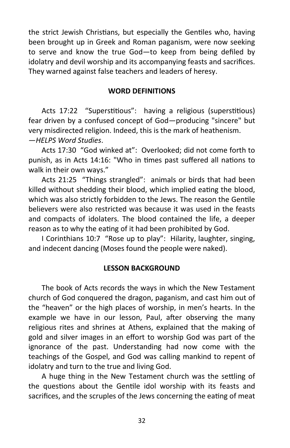the strict Jewish Christians, but especially the Gentiles who, having been brought up in Greek and Roman paganism, were now seeking to serve and know the true God—to keep from being defiled by idolatry and devil worship and its accompanying feasts and sacrifices. They warned against false teachers and leaders of heresy.

## **WORD DEFINITIONS**

Acts 17:22 "Superstitious": having a religious (superstitious) fear driven by a confused concept of God—producing "sincere" but very misdirected religion. Indeed, this is the mark of heathenism. —*HELPS Word Studies*.

Acts 17:30 "God winked at": Overlooked; did not come forth to punish, as in Acts 14:16: "Who in times past suffered all nations to walk in their own ways."

Acts 21:25 "Things strangled": animals or birds that had been killed without shedding their blood, which implied eating the blood, which was also strictly forbidden to the Jews. The reason the Gentile believers were also restricted was because it was used in the feasts and compacts of idolaters. The blood contained the life, a deeper reason as to why the eating of it had been prohibited by God.

I Corinthians 10:7 "Rose up to play": Hilarity, laughter, singing, and indecent dancing (Moses found the people were naked).

# **LESSON BACKGROUND**

The book of Acts records the ways in which the New Testament church of God conquered the dragon, paganism, and cast him out of the "heaven" or the high places of worship, in men's hearts. In the example we have in our lesson, Paul, after observing the many religious rites and shrines at Athens, explained that the making of gold and silver images in an effort to worship God was part of the ignorance of the past. Understanding had now come with the teachings of the Gospel, and God was calling mankind to repent of idolatry and turn to the true and living God.

A huge thing in the New Testament church was the settling of the questions about the Gentile idol worship with its feasts and sacrifices, and the scruples of the Jews concerning the eating of meat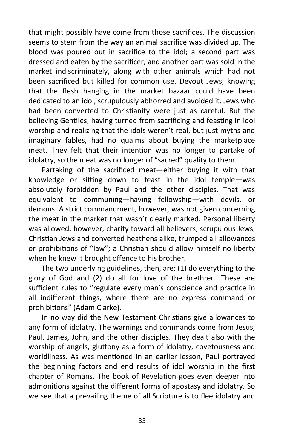that might possibly have come from those sacrifices. The discussion seems to stem from the way an animal sacrifice was divided up. The blood was poured out in sacrifice to the idol; a second part was dressed and eaten by the sacrificer, and another part was sold in the market indiscriminately, along with other animals which had not been sacrificed but killed for common use. Devout Jews, knowing that the flesh hanging in the market bazaar could have been dedicated to an idol, scrupulously abhorred and avoided it. Jews who had been converted to Christianity were just as careful. But the believing Gentiles, having turned from sacrificing and feasting in idol worship and realizing that the idols weren't real, but just myths and imaginary fables, had no qualms about buying the marketplace meat. They felt that their intention was no longer to partake of idolatry, so the meat was no longer of "sacred" quality to them.

Partaking of the sacrificed meat—either buying it with that knowledge or sitting down to feast in the idol temple—was absolutely forbidden by Paul and the other disciples. That was equivalent to communing—having fellowship—with devils, or demons. A strict commandment, however, was not given concerning the meat in the market that wasn't clearly marked. Personal liberty was allowed; however, charity toward all believers, scrupulous Jews, Christian Jews and converted heathens alike, trumped all allowances or prohibitions of "law"; a Christian should allow himself no liberty when he knew it brought offence to his brother.

The two underlying guidelines, then, are: (1) do everything to the glory of God and (2) do all for love of the brethren. These are sufficient rules to "regulate every man's conscience and practice in all indifferent things, where there are no express command or prohibitions" (Adam Clarke).

In no way did the New Testament Christians give allowances to any form of idolatry. The warnings and commands come from Jesus, Paul, James, John, and the other disciples. They dealt also with the worship of angels, gluttony as a form of idolatry, covetousness and worldliness. As was mentioned in an earlier lesson, Paul portrayed the beginning factors and end results of idol worship in the first chapter of Romans. The book of Revelation goes even deeper into admonitions against the different forms of apostasy and idolatry. So we see that a prevailing theme of all Scripture is to flee idolatry and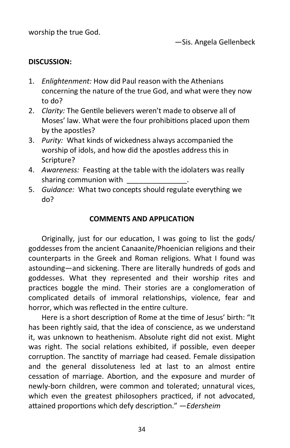worship the true God.

# **DISCUSSION:**

- 1. *Enlightenment:* How did Paul reason with the Athenians concerning the nature of the true God, and what were they now to do?
- 2. *Clarity:* The Gentile believers weren't made to observe all of Moses' law. What were the four prohibitions placed upon them by the apostles?
- 3. *Purity:* What kinds of wickedness always accompanied the worship of idols, and how did the apostles address this in Scripture?
- 4. *Awareness:* Feasting at the table with the idolaters was really sharing communion with
- 5. *Guidance:* What two concepts should regulate everything we do?

#### **COMMENTS AND APPLICATION**

Originally, just for our education, I was going to list the gods/ goddesses from the ancient Canaanite/Phoenician religions and their counterparts in the Greek and Roman religions. What I found was astounding—and sickening. There are literally hundreds of gods and goddesses. What they represented and their worship rites and practices boggle the mind. Their stories are a conglomeration of complicated details of immoral relationships, violence, fear and horror, which was reflected in the entire culture.

Here is a short description of Rome at the time of Jesus' birth: "It has been rightly said, that the idea of conscience, as we understand it, was unknown to heathenism. Absolute right did not exist. Might was right. The social relations exhibited, if possible, even deeper corruption. The sanctity of marriage had ceased. Female dissipation and the general dissoluteness led at last to an almost entire cessation of marriage. Abortion, and the exposure and murder of newly-born children, were common and tolerated; unnatural vices, which even the greatest philosophers practiced, if not advocated, attained proportions which defy description." —*Edersheim*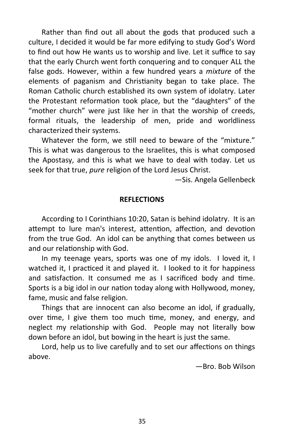Rather than find out all about the gods that produced such a culture, I decided it would be far more edifying to study God's Word to find out how He wants us to worship and live. Let it suffice to say that the early Church went forth conquering and to conquer ALL the false gods. However, within a few hundred years a *mixture* of the elements of paganism and Christianity began to take place. The Roman Catholic church established its own system of idolatry. Later the Protestant reformation took place, but the "daughters" of the "mother church" were just like her in that the worship of creeds, formal rituals, the leadership of men, pride and worldliness characterized their systems.

Whatever the form, we still need to beware of the "mixture." This is what was dangerous to the Israelites, this is what composed the Apostasy, and this is what we have to deal with today. Let us seek for that true, *pure* religion of the Lord Jesus Christ.

—Sis. Angela Gellenbeck

#### **REFLECTIONS**

According to I Corinthians 10:20, Satan is behind idolatry. It is an attempt to lure man's interest, attention, affection, and devotion from the true God. An idol can be anything that comes between us and our relationship with God.

In my teenage years, sports was one of my idols. I loved it, I watched it, I practiced it and played it. I looked to it for happiness and satisfaction. It consumed me as I sacrificed body and time. Sports is a big idol in our nation today along with Hollywood, money, fame, music and false religion.

Things that are innocent can also become an idol, if gradually, over time, I give them too much time, money, and energy, and neglect my relationship with God. People may not literally bow down before an idol, but bowing in the heart is just the same.

Lord, help us to live carefully and to set our affections on things above.

—Bro. Bob Wilson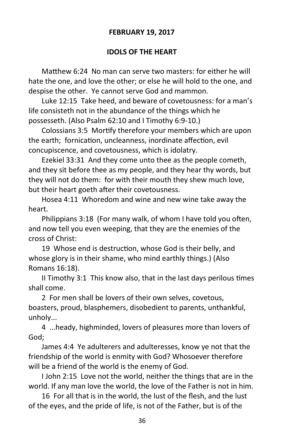# **FEBRUARY 19, 2017**

# **IDOLS OF THE HEART**

Matthew 6:24 No man can serve two masters: for either he will hate the one, and love the other; or else he will hold to the one, and despise the other. Ye cannot serve God and mammon.

Luke 12:15 Take heed, and beware of covetousness: for a man's life consisteth not in the abundance of the things which he possesseth. (Also Psalm 62:10 and I Timothy 6:9-10.)

Colossians 3:5 Mortify therefore your members which are upon the earth; fornication, uncleanness, inordinate affection, evil concupiscence, and covetousness, which is idolatry.

Ezekiel 33:31 And they come unto thee as the people cometh, and they sit before thee as my people, and they hear thy words, but they will not do them: for with their mouth they shew much love, but their heart goeth after their covetousness.

Hosea 4:11 Whoredom and wine and new wine take away the heart.

Philippians 3:18 (For many walk, of whom I have told you often, and now tell you even weeping, that they are the enemies of the cross of Christ:

19 Whose end is destruction, whose God is their belly, and whose glory is in their shame, who mind earthly things.) (Also Romans 16:18).

II Timothy 3:1 This know also, that in the last days perilous times shall come.

2 For men shall be lovers of their own selves, covetous, boasters, proud, blasphemers, disobedient to parents, unthankful, unholy...

4 ...heady, highminded, lovers of pleasures more than lovers of God;

James 4:4 Ye adulterers and adulteresses, know ye not that the friendship of the world is enmity with God? Whosoever therefore will be a friend of the world is the enemy of God.

I John 2:15 Love not the world, neither the things that are in the world. If any man love the world, the love of the Father is not in him.

16 For all that is in the world, the lust of the flesh, and the lust of the eyes, and the pride of life, is not of the Father, but is of the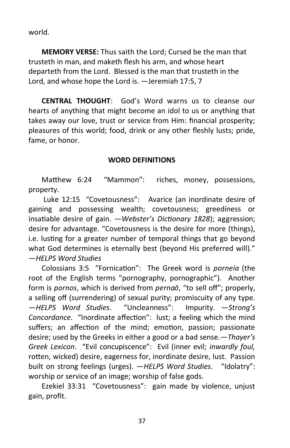world.

**MEMORY VERSE:** Thus saith the Lord; Cursed be the man that trusteth in man, and maketh flesh his arm, and whose heart departeth from the Lord. Blessed is the man that trusteth in the Lord, and whose hope the Lord is. —Jeremiah 17:5, 7

**CENTRAL THOUGHT**: God's Word warns us to cleanse our hearts of anything that might become an idol to us or anything that takes away our love, trust or service from Him: financial prosperity; pleasures of this world; food, drink or any other fleshly lusts; pride, fame, or honor.

# **WORD DEFINITIONS**

Matthew 6:24 "Mammon": riches, money, possessions, property.

Luke 12:15 "Covetousness": Avarice (an inordinate desire of gaining and possessing wealth; covetousness; greediness or insatiable desire of gain. —*Webster's Dictionary 1828*); aggression; desire for advantage. "Covetousness is the desire for more (things), i.e. lusting for a greater number of temporal things that go beyond what God determines is eternally best (beyond His preferred will)." —*HELPS Word Studies*

Colossians 3:5 "Fornication": The Greek word is *porneía* (the root of the English terms "pornography, pornographic"). Another form is *pornos*, which is derived from *pernaō*, "to sell off"; properly, a selling off (surrendering) of sexual purity; promiscuity of any type. —*HELPS Word Studies*. "Uncleanness": Impurity. —*Strong's Concordance.* "Inordinate affection": lust; a feeling which the mind suffers; an affection of the mind; emotion, passion; passionate desire; used by the Greeks in either a good or a bad sense.—*Thayer's Greek Lexicon*. "Evil concupiscence": Evil (inner evil; *inwardly foul,*  rotten, wicked) desire, eagerness for, inordinate desire, lust. Passion built on strong feelings (urges). —*HELPS Word Studies*. "Idolatry": worship or service of an image; worship of false gods.

Ezekiel 33:31 "Covetousness": gain made by violence, unjust gain, profit.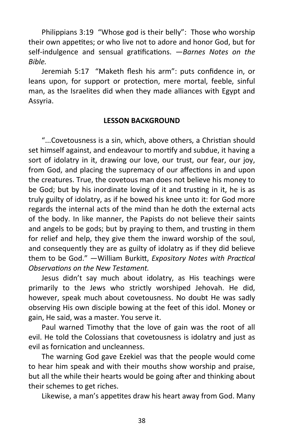Philippians 3:19 "Whose god is their belly": Those who worship their own appetites; or who live not to adore and honor God, but for self-indulgence and sensual gratifications. —*Barnes Notes on the Bible.*

Jeremiah 5:17 "Maketh flesh his arm": puts confidence in, or leans upon, for support or protection, mere mortal, feeble, sinful man, as the Israelites did when they made alliances with Egypt and Assyria.

#### **LESSON BACKGROUND**

"...Covetousness is a sin, which, above others, a Christian should set himself against, and endeavour to mortify and subdue, it having a sort of idolatry in it, drawing our love, our trust, our fear, our joy, from God, and placing the supremacy of our affections in and upon the creatures. True, the covetous man does not believe his money to be God; but by his inordinate loving of it and trusting in it, he is as truly guilty of idolatry, as if he bowed his knee unto it: for God more regards the internal acts of the mind than he doth the external acts of the body. In like manner, the Papists do not believe their saints and angels to be gods; but by praying to them, and trusting in them for relief and help, they give them the inward worship of the soul, and consequently they are as guilty of idolatry as if they did believe them to be God." —William Burkitt, *Expository Notes with Practical Observations on the New Testament.*

Jesus didn't say much about idolatry, as His teachings were primarily to the Jews who strictly worshiped Jehovah. He did, however, speak much about covetousness. No doubt He was sadly observing His own disciple bowing at the feet of this idol. Money or gain, He said, was a master. You serve it.

Paul warned Timothy that the love of gain was the root of all evil. He told the Colossians that covetousness is idolatry and just as evil as fornication and uncleanness.

The warning God gave Ezekiel was that the people would come to hear him speak and with their mouths show worship and praise, but all the while their hearts would be going after and thinking about their schemes to get riches.

Likewise, a man's appetites draw his heart away from God. Many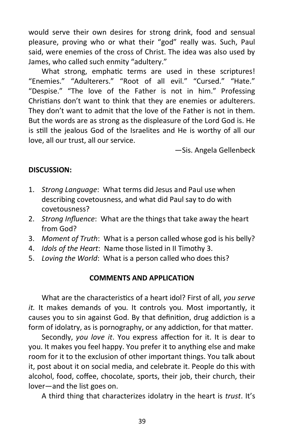would serve their own desires for strong drink, food and sensual pleasure, proving who or what their "god" really was. Such, Paul said, were enemies of the cross of Christ. The idea was also used by James, who called such enmity "adultery."

What strong, emphatic terms are used in these scriptures! "Enemies." "Adulterers." "Root of all evil." "Cursed." "Hate." "Despise." "The love of the Father is not in him." Professing Christians don't want to think that they are enemies or adulterers. They don't want to admit that the love of the Father is not in them. But the words are as strong as the displeasure of the Lord God is. He is still the jealous God of the Israelites and He is worthy of all our love, all our trust, all our service.

—Sis. Angela Gellenbeck

#### **DISCUSSION:**

- 1. *Strong Language*: What terms did Jesus and Paul use when describing covetousness, and what did Paul say to do with covetousness?
- 2. *Strong Influence*: What are the things that take away the heart from God?
- 3. *Moment of Truth*: What is a person called whose god is his belly?
- 4. *Idols of the Heart*: Name those listed in II Timothy 3.
- 5. *Loving the World*: What is a person called who does this?

#### **COMMENTS AND APPLICATION**

What are the characteristics of a heart idol? First of all, *you serve it.* It makes demands of you. It controls you. Most importantly, it causes you to sin against God. By that definition, drug addiction is a form of idolatry, as is pornography, or any addiction, for that matter.

Secondly, *you love it*. You express affection for it. It is dear to you. It makes you feel happy. You prefer it to anything else and make room for it to the exclusion of other important things. You talk about it, post about it on social media, and celebrate it. People do this with alcohol, food, coffee, chocolate, sports, their job, their church, their lover—and the list goes on.

A third thing that characterizes idolatry in the heart is *trust*. It's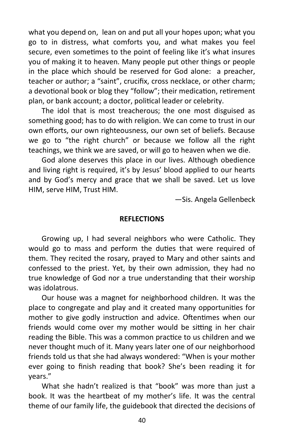what you depend on, lean on and put all your hopes upon; what you go to in distress, what comforts you, and what makes you feel secure, even sometimes to the point of feeling like it's what insures you of making it to heaven. Many people put other things or people in the place which should be reserved for God alone: a preacher, teacher or author; a "saint", crucifix, cross necklace, or other charm; a devotional book or blog they "follow"; their medication, retirement plan, or bank account; a doctor, political leader or celebrity.

The idol that is most treacherous; the one most disguised as something good; has to do with religion. We can come to trust in our own efforts, our own righteousness, our own set of beliefs. Because we go to "the right church" or because we follow all the right teachings, we think we are saved, or will go to heaven when we die.

God alone deserves this place in our lives. Although obedience and living right is required, it's by Jesus' blood applied to our hearts and by God's mercy and grace that we shall be saved. Let us love HIM, serve HIM, Trust HIM.

—Sis. Angela Gellenbeck

#### **REFLECTIONS**

Growing up, I had several neighbors who were Catholic. They would go to mass and perform the duties that were required of them. They recited the rosary, prayed to Mary and other saints and confessed to the priest. Yet, by their own admission, they had no true knowledge of God nor a true understanding that their worship was idolatrous.

Our house was a magnet for neighborhood children. It was the place to congregate and play and it created many opportunities for mother to give godly instruction and advice. Oftentimes when our friends would come over my mother would be sitting in her chair reading the Bible. This was a common practice to us children and we never thought much of it. Many years later one of our neighborhood friends told us that she had always wondered: "When is your mother ever going to finish reading that book? She's been reading it for years."

What she hadn't realized is that "book" was more than just a book. It was the heartbeat of my mother's life. It was the central theme of our family life, the guidebook that directed the decisions of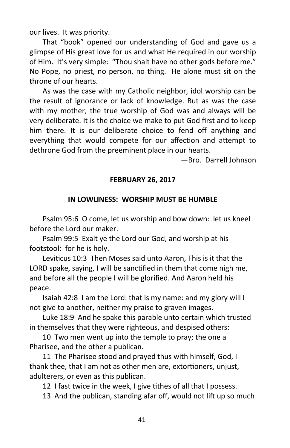our lives. It was priority.

That "book" opened our understanding of God and gave us a glimpse of His great love for us and what He required in our worship of Him. It's very simple: "Thou shalt have no other gods before me." No Pope, no priest, no person, no thing. He alone must sit on the throne of our hearts.

As was the case with my Catholic neighbor, idol worship can be the result of ignorance or lack of knowledge. But as was the case with my mother, the true worship of God was and always will be very deliberate. It is the choice we make to put God first and to keep him there. It is our deliberate choice to fend off anything and everything that would compete for our affection and attempt to dethrone God from the preeminent place in our hearts.

—Bro. Darrell Johnson

#### **FEBRUARY 26, 2017**

#### **IN LOWLINESS: WORSHIP MUST BE HUMBLE**

Psalm 95:6 O come, let us worship and bow down: let us kneel before the Lord our maker.

Psalm 99:5 Exalt ye the Lord our God, and worship at his footstool: for he is holy.

Leviticus 10:3 Then Moses said unto Aaron, This is it that the LORD spake, saying, I will be sanctified in them that come nigh me, and before all the people I will be glorified. And Aaron held his peace.

Isaiah 42:8 I am the Lord: that is my name: and my glory will I not give to another, neither my praise to graven images.

Luke 18:9 And he spake this parable unto certain which trusted in themselves that they were righteous, and despised others:

10 Two men went up into the temple to pray; the one a Pharisee, and the other a publican.

11 The Pharisee stood and prayed thus with himself, God, I thank thee, that I am not as other men are, extortioners, unjust, adulterers, or even as this publican.

12 I fast twice in the week, I give tithes of all that I possess.

13 And the publican, standing afar off, would not lift up so much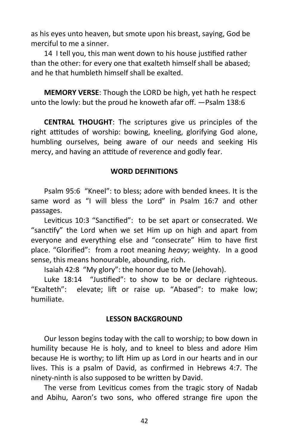as his eyes unto heaven, but smote upon his breast, saying, God be merciful to me a sinner.

14 I tell you, this man went down to his house justified rather than the other: for every one that exalteth himself shall be abased; and he that humbleth himself shall be exalted.

**MEMORY VERSE**: Though the LORD be high, yet hath he respect unto the lowly: but the proud he knoweth afar off. —Psalm 138:6

**CENTRAL THOUGHT**: The scriptures give us principles of the right attitudes of worship: bowing, kneeling, glorifying God alone, humbling ourselves, being aware of our needs and seeking His mercy, and having an attitude of reverence and godly fear.

# **WORD DEFINITIONS**

Psalm 95:6 "Kneel": to bless; adore with bended knees. It is the same word as "I will bless the Lord" in Psalm 16:7 and other passages.

Leviticus 10:3 "Sanctified": to be set apart or consecrated. We "sanctify" the Lord when we set Him up on high and apart from everyone and everything else and "consecrate" Him to have first place. "Glorified": from a root meaning *heavy*; weighty. In a good sense, this means honourable, abounding, rich.

Isaiah 42:8 "My glory": the honor due to Me (Jehovah).

Luke 18:14 "Justified": to show to be or declare righteous. "Exalteth": elevate; lift or raise up. "Abased": to make low; humiliate.

# **LESSON BACKGROUND**

Our lesson begins today with the call to worship; to bow down in humility because He is holy, and to kneel to bless and adore Him because He is worthy; to lift Him up as Lord in our hearts and in our lives. This is a psalm of David, as confirmed in Hebrews 4:7. The ninety-ninth is also supposed to be written by David.

The verse from Leviticus comes from the tragic story of Nadab and Abihu, Aaron's two sons, who offered strange fire upon the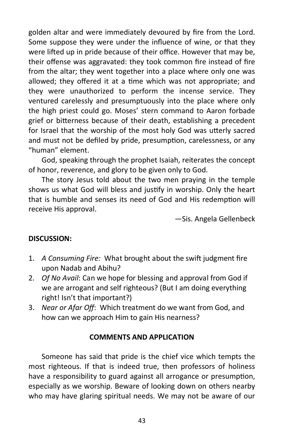golden altar and were immediately devoured by fire from the Lord. Some suppose they were under the influence of wine, or that they were lifted up in pride because of their office. However that may be, their offense was aggravated: they took common fire instead of fire from the altar; they went together into a place where only one was allowed; they offered it at a time which was not appropriate; and they were unauthorized to perform the incense service. They ventured carelessly and presumptuously into the place where only the high priest could go. Moses' stern command to Aaron forbade grief or bitterness because of their death, establishing a precedent for Israel that the worship of the most holy God was utterly sacred and must not be defiled by pride, presumption, carelessness, or any "human" element.

God, speaking through the prophet Isaiah, reiterates the concept of honor, reverence, and glory to be given only to God.

The story Jesus told about the two men praying in the temple shows us what God will bless and justify in worship. Only the heart that is humble and senses its need of God and His redemption will receive His approval.

—Sis. Angela Gellenbeck

# **DISCUSSION:**

- 1. *A Consuming Fire:* What brought about the swift judgment fire upon Nadab and Abihu?
- 2. *Of No Avail*: Can we hope for blessing and approval from God if we are arrogant and self righteous? (But I am doing everything right! Isn't that important?)
- 3. *Near or Afar Off*: Which treatment do we want from God, and how can we approach Him to gain His nearness?

# **COMMENTS AND APPLICATION**

Someone has said that pride is the chief vice which tempts the most righteous. If that is indeed true, then professors of holiness have a responsibility to guard against all arrogance or presumption, especially as we worship. Beware of looking down on others nearby who may have glaring spiritual needs. We may not be aware of our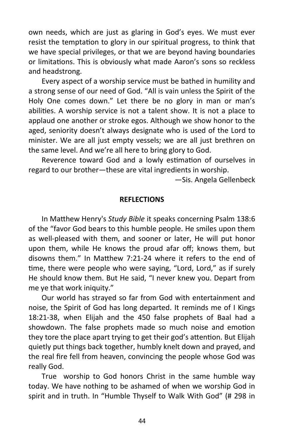own needs, which are just as glaring in God's eyes. We must ever resist the temptation to glory in our spiritual progress, to think that we have special privileges, or that we are beyond having boundaries or limitations. This is obviously what made Aaron's sons so reckless and headstrong.

Every aspect of a worship service must be bathed in humility and a strong sense of our need of God. "All is vain unless the Spirit of the Holy One comes down." Let there be no glory in man or man's abilities. A worship service is not a talent show. It is not a place to applaud one another or stroke egos. Although we show honor to the aged, seniority doesn't always designate who is used of the Lord to minister. We are all just empty vessels; we are all just brethren on the same level. And we're all here to bring glory to God.

Reverence toward God and a lowly estimation of ourselves in regard to our brother—these are vital ingredients in worship.

—Sis. Angela Gellenbeck

#### **REFLECTIONS**

In Matthew Henry's *Study Bible* it speaks concerning Psalm 138:6 of the "favor God bears to this humble people. He smiles upon them as well-pleased with them, and sooner or later, He will put honor upon them, while He knows the proud afar off; knows them, but disowns them." In Matthew 7:21-24 where it refers to the end of time, there were people who were saying, "Lord, Lord," as if surely He should know them. But He said, "I never knew you. Depart from me ye that work iniquity."

Our world has strayed so far from God with entertainment and noise, the Spirit of God has long departed. It reminds me of I Kings 18:21-38, when Elijah and the 450 false prophets of Baal had a showdown. The false prophets made so much noise and emotion they tore the place apart trying to get their god's attention. But Elijah quietly put things back together, humbly knelt down and prayed, and the real fire fell from heaven, convincing the people whose God was really God.

True worship to God honors Christ in the same humble way today. We have nothing to be ashamed of when we worship God in spirit and in truth. In "Humble Thyself to Walk With God" (# 298 in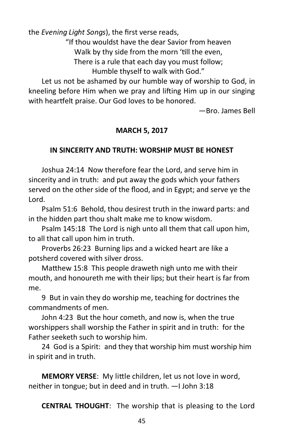the *Evening Light Songs*), the first verse reads,

"If thou wouldst have the dear Savior from heaven

Walk by thy side from the morn 'till the even,

There is a rule that each day you must follow;

Humble thyself to walk with God."

Let us not be ashamed by our humble way of worship to God, in kneeling before Him when we pray and lifting Him up in our singing with heartfelt praise. Our God loves to be honored.

—Bro. James Bell

# **MARCH 5, 2017**

# **IN SINCERITY AND TRUTH: WORSHIP MUST BE HONEST**

Joshua 24:14 Now therefore fear the Lord, and serve him in sincerity and in truth: and put away the gods which your fathers served on the other side of the flood, and in Egypt; and serve ye the Lord.

Psalm 51:6 Behold, thou desirest truth in the inward parts: and in the hidden part thou shalt make me to know wisdom.

Psalm 145:18 The Lord is nigh unto all them that call upon him, to all that call upon him in truth.

Proverbs 26:23 Burning lips and a wicked heart are like a potsherd covered with silver dross.

Matthew 15:8 This people draweth nigh unto me with their mouth, and honoureth me with their lips; but their heart is far from me.

9 But in vain they do worship me, teaching for doctrines the commandments of men.

John 4:23 But the hour cometh, and now is, when the true worshippers shall worship the Father in spirit and in truth: for the Father seeketh such to worship him.

24 God is a Spirit: and they that worship him must worship him in spirit and in truth.

**MEMORY VERSE**: My little children, let us not love in word, neither in tongue; but in deed and in truth. —I John 3:18

**CENTRAL THOUGHT**: The worship that is pleasing to the Lord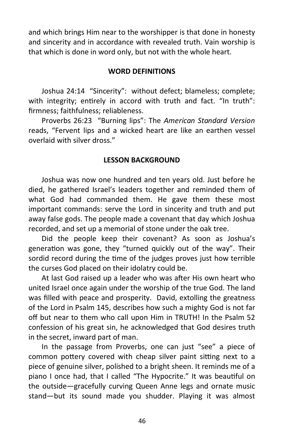and which brings Him near to the worshipper is that done in honesty and sincerity and in accordance with revealed truth. Vain worship is that which is done in word only, but not with the whole heart.

#### **WORD DEFINITIONS**

Joshua 24:14 "Sincerity": without defect; blameless; complete; with integrity; entirely in accord with truth and fact. "In truth": firmness; faithfulness; reliableness.

Proverbs 26:23 "Burning lips": The *American Standard Version*  reads, "Fervent lips and a wicked heart are like an earthen vessel overlaid with silver dross."

# **LESSON BACKGROUND**

Joshua was now one hundred and ten years old. Just before he died, he gathered Israel's leaders together and reminded them of what God had commanded them. He gave them these most important commands: serve the Lord in sincerity and truth and put away false gods. The people made a covenant that day which Joshua recorded, and set up a memorial of stone under the oak tree.

Did the people keep their covenant? As soon as Joshua's generation was gone, they "turned quickly out of the way". Their sordid record during the time of the judges proves just how terrible the curses God placed on their idolatry could be.

At last God raised up a leader who was after His own heart who united Israel once again under the worship of the true God. The land was filled with peace and prosperity. David, extolling the greatness of the Lord in Psalm 145, describes how such a mighty God is not far off but near to them who call upon Him in TRUTH! In the Psalm 52 confession of his great sin, he acknowledged that God desires truth in the secret, inward part of man.

In the passage from Proverbs, one can just "see" a piece of common pottery covered with cheap silver paint sitting next to a piece of genuine silver, polished to a bright sheen. It reminds me of a piano I once had, that I called "The Hypocrite." It was beautiful on the outside—gracefully curving Queen Anne legs and ornate music stand—but its sound made you shudder. Playing it was almost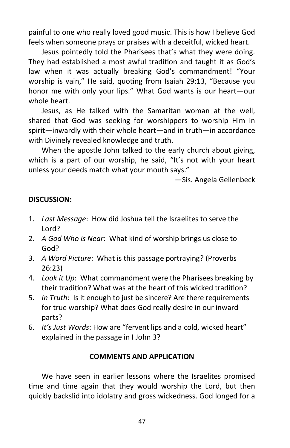painful to one who really loved good music. This is how I believe God feels when someone prays or praises with a deceitful, wicked heart.

Jesus pointedly told the Pharisees that's what they were doing. They had established a most awful tradition and taught it as God's law when it was actually breaking God's commandment! "Your worship is vain," He said, quoting from Isaiah 29:13, "Because you honor me with only your lips." What God wants is our heart—our whole heart.

Jesus, as He talked with the Samaritan woman at the well, shared that God was seeking for worshippers to worship Him in spirit—inwardly with their whole heart—and in truth—in accordance with Divinely revealed knowledge and truth.

When the apostle John talked to the early church about giving, which is a part of our worship, he said, "It's not with your heart unless your deeds match what your mouth says."

—Sis. Angela Gellenbeck

# **DISCUSSION:**

- 1. *Last Message*: How did Joshua tell the Israelites to serve the Lord?
- 2. *A God Who is Near*: What kind of worship brings us close to God?
- 3. *A Word Picture*: What is this passage portraying? (Proverbs 26:23)
- 4. *Look it Up*: What commandment were the Pharisees breaking by their tradition? What was at the heart of this wicked tradition?
- 5. *In Truth*: Is it enough to just be sincere? Are there requirements for true worship? What does God really desire in our inward parts?
- 6. *It's Just Words*: How are "fervent lips and a cold, wicked heart" explained in the passage in I John 3?

#### **COMMENTS AND APPLICATION**

We have seen in earlier lessons where the Israelites promised time and time again that they would worship the Lord, but then quickly backslid into idolatry and gross wickedness. God longed for a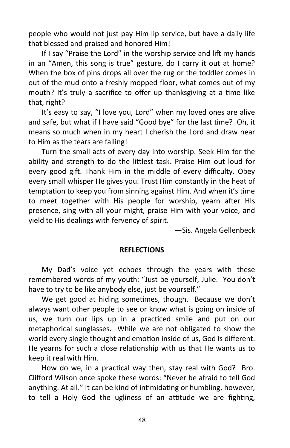people who would not just pay Him lip service, but have a daily life that blessed and praised and honored Him!

If I say "Praise the Lord" in the worship service and lift my hands in an "Amen, this song is true" gesture, do I carry it out at home? When the box of pins drops all over the rug or the toddler comes in out of the mud onto a freshly mopped floor, what comes out of my mouth? It's truly a sacrifice to offer up thanksgiving at a time like that, right?

It's easy to say, "I love you, Lord" when my loved ones are alive and safe, but what if I have said "Good bye" for the last time? Oh, it means so much when in my heart I cherish the Lord and draw near to Him as the tears are falling!

Turn the small acts of every day into worship. Seek Him for the ability and strength to do the littlest task. Praise Him out loud for every good gift. Thank Him in the middle of every difficulty. Obey every small whisper He gives you. Trust Him constantly in the heat of temptation to keep you from sinning against Him. And when it's time to meet together with His people for worship, yearn after HIs presence, sing with all your might, praise Him with your voice, and yield to His dealings with fervency of spirit.

—Sis. Angela Gellenbeck

#### **REFLECTIONS**

My Dad's voice yet echoes through the years with these remembered words of my youth: "Just be yourself, Julie. You don't have to try to be like anybody else, just be yourself."

We get good at hiding sometimes, though. Because we don't always want other people to see or know what is going on inside of us, we turn our lips up in a practiced smile and put on our metaphorical sunglasses. While we are not obligated to show the world every single thought and emotion inside of us, God is different. He yearns for such a close relationship with us that He wants us to keep it real with Him.

How do we, in a practical way then, stay real with God? Bro. Clifford Wilson once spoke these words: "Never be afraid to tell God anything. At all." It can be kind of intimidating or humbling, however, to tell a Holy God the ugliness of an attitude we are fighting,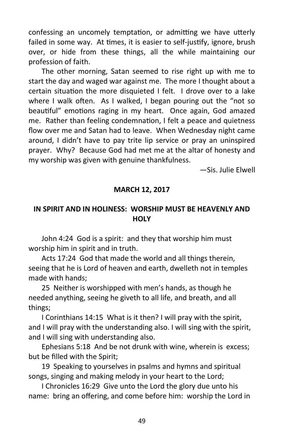confessing an uncomely temptation, or admitting we have utterly failed in some way. At times, it is easier to self-justify, ignore, brush over, or hide from these things, all the while maintaining our profession of faith.

The other morning, Satan seemed to rise right up with me to start the day and waged war against me. The more I thought about a certain situation the more disquieted I felt. I drove over to a lake where I walk often. As I walked, I began pouring out the "not so beautiful" emotions raging in my heart. Once again, God amazed me. Rather than feeling condemnation, I felt a peace and quietness flow over me and Satan had to leave. When Wednesday night came around, I didn't have to pay trite lip service or pray an uninspired prayer. Why? Because God had met me at the altar of honesty and my worship was given with genuine thankfulness.

—Sis. Julie Elwell

# **MARCH 12, 2017**

# **IN SPIRIT AND IN HOLINESS: WORSHIP MUST BE HEAVENLY AND HOLY**

John 4:24 God is a spirit: and they that worship him must worship him in spirit and in truth.

Acts 17:24 God that made the world and all things therein, seeing that he is Lord of heaven and earth, dwelleth not in temples made with hands;

25 Neither is worshipped with men's hands, as though he needed anything, seeing he giveth to all life, and breath, and all things;

I Corinthians 14:15 What is it then? I will pray with the spirit, and I will pray with the understanding also. I will sing with the spirit, and I will sing with understanding also.

Ephesians 5:18 And be not drunk with wine, wherein is excess; but be filled with the Spirit;

19 Speaking to yourselves in psalms and hymns and spiritual songs, singing and making melody in your heart to the Lord;

I Chronicles 16:29 Give unto the Lord the glory due unto his name: bring an offering, and come before him: worship the Lord in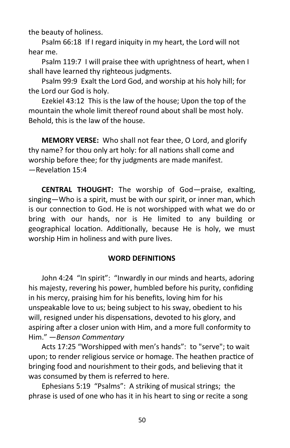the beauty of holiness.

Psalm 66:18 If I regard iniquity in my heart, the Lord will not hear me.

Psalm 119:7 I will praise thee with uprightness of heart, when I shall have learned thy righteous judgments.

Psalm 99:9 Exalt the Lord God, and worship at his holy hill; for the Lord our God is holy.

Ezekiel 43:12 This is the law of the house; Upon the top of the mountain the whole limit thereof round about shall be most holy. Behold, this is the law of the house.

**MEMORY VERSE:** Who shall not fear thee, O Lord, and glorify thy name? for thou only art holy: for all nations shall come and worship before thee; for thy judgments are made manifest. —Revelation 15:4

**CENTRAL THOUGHT:** The worship of God—praise, exalting, singing—Who is a spirit, must be with our spirit, or inner man, which is our connection to God. He is not worshipped with what we do or bring with our hands, nor is He limited to any building or geographical location. Additionally, because He is holy, we must worship Him in holiness and with pure lives.

#### **WORD DEFINITIONS**

John 4:24 "In spirit": "Inwardly in our minds and hearts, adoring his majesty, revering his power, humbled before his purity, confiding in his mercy, praising him for his benefits, loving him for his unspeakable love to us; being subject to his sway, obedient to his will, resigned under his dispensations, devoted to his glory, and aspiring after a closer union with Him, and a more full conformity to Him." —*Benson Commentary* 

Acts 17:25 "Worshipped with men's hands": to "serve"; to wait upon; to render religious service or homage. The heathen practice of bringing food and nourishment to their gods, and believing that it was consumed by them is referred to here.

Ephesians 5:19 "Psalms": A striking of musical strings; the phrase is used of one who has it in his heart to sing or recite a song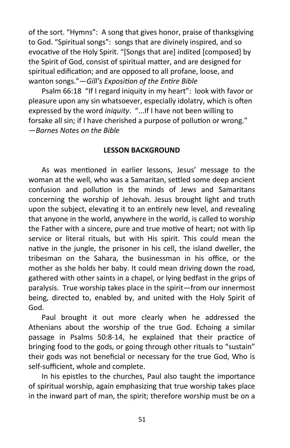of the sort. "Hymns": A song that gives honor, praise of thanksgiving to God. "Spiritual songs": songs that are divinely inspired, and so evocative of the Holy Spirit. "[Songs that are] indited [composed] by the Spirit of God, consist of spiritual matter, and are designed for spiritual edification; and are opposed to all profane, loose, and wanton songs."—*Gill's Exposition of the Entire Bible*

Psalm 66:18 "If I regard iniquity in my heart": look with favor or pleasure upon any sin whatsoever, especially idolatry, which is often expressed by the word *iniquity*. "...If I have not been willing to forsake all sin; if I have cherished a purpose of pollution or wrong." —*Barnes Notes on the Bible*

#### **LESSON BACKGROUND**

As was mentioned in earlier lessons, Jesus' message to the woman at the well, who was a Samaritan, settled some deep ancient confusion and pollution in the minds of Jews and Samaritans concerning the worship of Jehovah. Jesus brought light and truth upon the subject, elevating it to an entirely new level, and revealing that anyone in the world, anywhere in the world, is called to worship the Father with a sincere, pure and true motive of heart; not with lip service or literal rituals, but with His spirit. This could mean the native in the jungle, the prisoner in his cell, the island dweller, the tribesman on the Sahara, the businessman in his office, or the mother as she holds her baby. It could mean driving down the road, gathered with other saints in a chapel, or lying bedfast in the grips of paralysis. True worship takes place in the spirit—from our innermost being, directed to, enabled by, and united with the Holy Spirit of God.

Paul brought it out more clearly when he addressed the Athenians about the worship of the true God. Echoing a similar passage in Psalms 50:8-14, he explained that their practice of bringing food to the gods, or going through other rituals to "sustain" their gods was not beneficial or necessary for the true God, Who is self-sufficient, whole and complete.

In his epistles to the churches, Paul also taught the importance of spiritual worship, again emphasizing that true worship takes place in the inward part of man, the spirit; therefore worship must be on a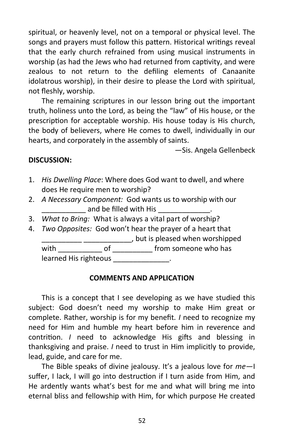spiritual, or heavenly level, not on a temporal or physical level. The songs and prayers must follow this pattern. Historical writings reveal that the early church refrained from using musical instruments in worship (as had the Jews who had returned from captivity, and were zealous to not return to the defiling elements of Canaanite idolatrous worship), in their desire to please the Lord with spiritual, not fleshly, worship.

The remaining scriptures in our lesson bring out the important truth, holiness unto the Lord, as being the "law" of His house, or the prescription for acceptable worship. His house today is His church, the body of believers, where He comes to dwell, individually in our hearts, and corporately in the assembly of saints.

—Sis. Angela Gellenbeck

# **DISCUSSION:**

- 1. *His Dwelling Place*: Where does God want to dwell, and where does He require men to worship?
- 2. *A Necessary Component:* God wants us to worship with our and be filled with His
- 3. *What to Bring:* What is always a vital part of worship?
- 4. *Two Opposites:* God won't hear the prayer of a heart that \_\_\_\_\_\_\_\_\_\_ \_\_\_\_\_\_\_\_\_\_\_\_, but is pleased when worshipped with \_\_\_\_\_\_\_\_\_\_\_\_\_\_ of \_\_\_\_\_\_\_\_\_\_\_\_\_ from someone who has

learned His righteous \_\_\_\_\_\_\_\_\_\_\_\_\_.

# **COMMENTS AND APPLICATION**

This is a concept that I see developing as we have studied this subject: God doesn't need my worship to make Him great or complete. Rather, worship is for my benefit*. I* need to recognize my need for Him and humble my heart before him in reverence and contrition. *I* need to acknowledge His gifts and blessing in thanksgiving and praise. *I* need to trust in Him implicitly to provide, lead, guide, and care for me.

The Bible speaks of divine jealousy. It's a jealous love for *me*—I suffer, I lack, I will go into destruction if I turn aside from Him, and He ardently wants what's best for me and what will bring me into eternal bliss and fellowship with Him, for which purpose He created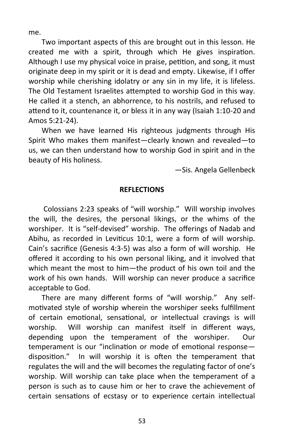me.

Two important aspects of this are brought out in this lesson. He created me with a spirit, through which He gives inspiration. Although I use my physical voice in praise, petition, and song, it must originate deep in my spirit or it is dead and empty. Likewise, if I offer worship while cherishing idolatry or any sin in my life, it is lifeless. The Old Testament Israelites attempted to worship God in this way. He called it a stench, an abhorrence, to his nostrils, and refused to attend to it, countenance it, or bless it in any way (Isaiah 1:10-20 and Amos 5:21-24).

When we have learned His righteous judgments through His Spirit Who makes them manifest—clearly known and revealed—to us, we can then understand how to worship God in spirit and in the beauty of His holiness.

—Sis. Angela Gellenbeck

#### **REFLECTIONS**

Colossians 2:23 speaks of "will worship." Will worship involves the will, the desires, the personal likings, or the whims of the worshiper. It is "self-devised" worship. The offerings of Nadab and Abihu, as recorded in Leviticus 10:1, were a form of will worship. Cain's sacrifice (Genesis 4:3-5) was also a form of will worship. He offered it according to his own personal liking, and it involved that which meant the most to him—the product of his own toil and the work of his own hands. Will worship can never produce a sacrifice acceptable to God.

There are many different forms of "will worship." Any selfmotivated style of worship wherein the worshiper seeks fulfillment of certain emotional, sensational, or intellectual cravings is will worship. Will worship can manifest itself in different ways, depending upon the temperament of the worshiper. Our temperament is our "inclination or mode of emotional response disposition." In will worship it is often the temperament that regulates the will and the will becomes the regulating factor of one's worship. Will worship can take place when the temperament of a person is such as to cause him or her to crave the achievement of certain sensations of ecstasy or to experience certain intellectual

53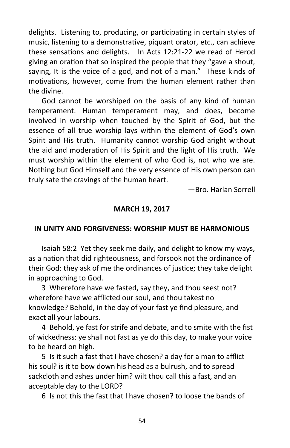delights. Listening to, producing, or participating in certain styles of music, listening to a demonstrative, piquant orator, etc., can achieve these sensations and delights. In Acts 12:21-22 we read of Herod giving an oration that so inspired the people that they "gave a shout, saying, It is the voice of a god, and not of a man." These kinds of motivations, however, come from the human element rather than the divine.

God cannot be worshiped on the basis of any kind of human temperament. Human temperament may, and does, become involved in worship when touched by the Spirit of God, but the essence of all true worship lays within the element of God's own Spirit and His truth. Humanity cannot worship God aright without the aid and moderation of His Spirit and the light of His truth. We must worship within the element of who God is, not who we are. Nothing but God Himself and the very essence of His own person can truly sate the cravings of the human heart.

—Bro. Harlan Sorrell

#### **MARCH 19, 2017**

#### **IN UNITY AND FORGIVENESS: WORSHIP MUST BE HARMONIOUS**

Isaiah 58:2 Yet they seek me daily, and delight to know my ways, as a nation that did righteousness, and forsook not the ordinance of their God: they ask of me the ordinances of justice; they take delight in approaching to God.

3 Wherefore have we fasted, say they, and thou seest not? wherefore have we afflicted our soul, and thou takest no knowledge? Behold, in the day of your fast ye find pleasure, and exact all your labours.

4 Behold, ye fast for strife and debate, and to smite with the fist of wickedness: ye shall not fast as ye do this day, to make your voice to be heard on high.

5 Is it such a fast that I have chosen? a day for a man to afflict his soul? is it to bow down his head as a bulrush, and to spread sackcloth and ashes under him? wilt thou call this a fast, and an acceptable day to the LORD?

6 Is not this the fast that I have chosen? to loose the bands of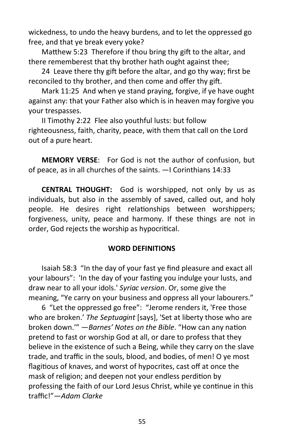wickedness, to undo the heavy burdens, and to let the oppressed go free, and that ye break every yoke?

Matthew 5:23 Therefore if thou bring thy gift to the altar, and there rememberest that thy brother hath ought against thee;

24 Leave there thy gift before the altar, and go thy way; first be reconciled to thy brother, and then come and offer thy gift.

Mark 11:25 And when ye stand praying, forgive, if ye have ought against any: that your Father also which is in heaven may forgive you your trespasses.

II Timothy 2:22 Flee also youthful lusts: but follow righteousness, faith, charity, peace, with them that call on the Lord out of a pure heart.

**MEMORY VERSE**: For God is not the author of confusion, but of peace, as in all churches of the saints. —I Corinthians 14:33

**CENTRAL THOUGHT:** God is worshipped, not only by us as individuals, but also in the assembly of saved, called out, and holy people. He desires right relationships between worshippers; forgiveness, unity, peace and harmony. If these things are not in order, God rejects the worship as hypocritical.

#### **WORD DEFINITIONS**

Isaiah 58:3 "In the day of your fast ye find pleasure and exact all your labours": 'In the day of your fasting you indulge your lusts, and draw near to all your idols.' *Syriac version*. Or, some give the meaning, "Ye carry on your business and oppress all your labourers."

6 "Let the oppressed go free": "Jerome renders it, 'Free those who are broken.' *The Septuagint* [says], 'Set at liberty those who are broken down.'" —*Barnes' Notes on the Bible*. "How can any nation pretend to fast or worship God at all, or dare to profess that they believe in the existence of such a Being, while they carry on the slave trade, and traffic in the souls, blood, and bodies, of men! O ye most flagitious of knaves, and worst of hypocrites, cast off at once the mask of religion; and deepen not your endless perdition by professing the faith of our Lord Jesus Christ, while ye continue in this traffic!"—*Adam Clarke*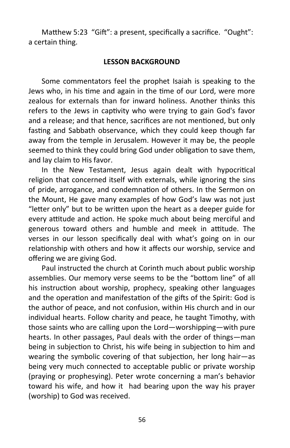Matthew 5:23 "Gift": a present, specifically a sacrifice. "Ought": a certain thing.

#### **LESSON BACKGROUND**

Some commentators feel the prophet Isaiah is speaking to the Jews who, in his time and again in the time of our Lord, were more zealous for externals than for inward holiness. Another thinks this refers to the Jews in captivity who were trying to gain God's favor and a release; and that hence, sacrifices are not mentioned, but only fasting and Sabbath observance, which they could keep though far away from the temple in Jerusalem. However it may be, the people seemed to think they could bring God under obligation to save them, and lay claim to His favor.

In the New Testament, Jesus again dealt with hypocritical religion that concerned itself with externals, while ignoring the sins of pride, arrogance, and condemnation of others. In the Sermon on the Mount, He gave many examples of how God's law was not just "letter only" but to be written upon the heart as a deeper guide for every attitude and action. He spoke much about being merciful and generous toward others and humble and meek in attitude. The verses in our lesson specifically deal with what's going on in our relationship with others and how it affects our worship, service and offering we are giving God.

Paul instructed the church at Corinth much about public worship assemblies. Our memory verse seems to be the "bottom line" of all his instruction about worship, prophecy, speaking other languages and the operation and manifestation of the gifts of the Spirit: God is the author of peace, and not confusion, within His church and in our individual hearts. Follow charity and peace, he taught Timothy, with those saints who are calling upon the Lord—worshipping—with pure hearts. In other passages, Paul deals with the order of things—man being in subjection to Christ, his wife being in subjection to him and wearing the symbolic covering of that subjection, her long hair—as being very much connected to acceptable public or private worship (praying or prophesying). Peter wrote concerning a man's behavior toward his wife, and how it had bearing upon the way his prayer (worship) to God was received.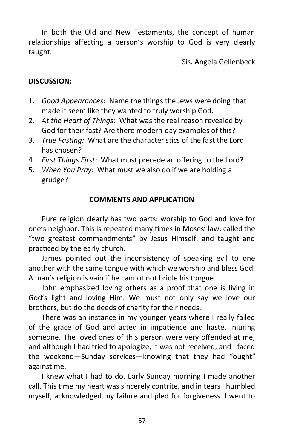In both the Old and New Testaments, the concept of human relationships affecting a person's worship to God is very clearly taught.

—Sis. Angela Gellenbeck

# **DISCUSSION:**

- 1. *Good Appearances:* Name the things the Jews were doing that made it seem like they wanted to truly worship God.
- 2. *At the Heart of Things:* What was the real reason revealed by God for their fast? Are there modern-day examples of this?
- 3. *True Fasting:* What are the characteristics of the fast the Lord has chosen?
- 4. *First Things First:* What must precede an offering to the Lord?
- 5. *When You Pray:* What must we also do if we are holding a grudge?

# **COMMENTS AND APPLICATION**

Pure religion clearly has two parts: worship to God and love for one's neighbor. This is repeated many times in Moses' law, called the "two greatest commandments" by Jesus Himself, and taught and practiced by the early church.

James pointed out the inconsistency of speaking evil to one another with the same tongue with which we worship and bless God. A man's religion is vain if he cannot not bridle his tongue.

John emphasized loving others as a proof that one is living in God's light and loving Him. We must not only say we love our brothers, but do the deeds of charity for their needs.

There was an instance in my younger years where I really failed of the grace of God and acted in impatience and haste, injuring someone. The loved ones of this person were very offended at me, and although I had tried to apologize, it was not received, and I faced the weekend—Sunday services—knowing that they had "ought" against me.

I knew what I had to do. Early Sunday morning I made another call. This time my heart was sincerely contrite, and in tears I humbled myself, acknowledged my failure and pled for forgiveness. I went to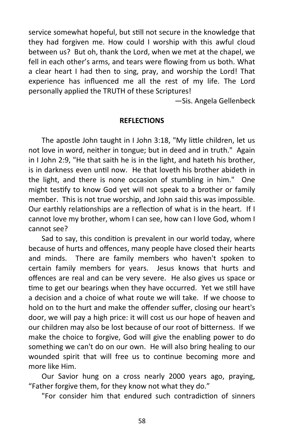service somewhat hopeful, but still not secure in the knowledge that they had forgiven me. How could I worship with this awful cloud between us? But oh, thank the Lord, when we met at the chapel, we fell in each other's arms, and tears were flowing from us both. What a clear heart I had then to sing, pray, and worship the Lord! That experience has influenced me all the rest of my life. The Lord personally applied the TRUTH of these Scriptures!

—Sis. Angela Gellenbeck

#### **REFLECTIONS**

The apostle John taught in I John 3:18, "My little children, let us not love in word, neither in tongue; but in deed and in truth." Again in I John 2:9, "He that saith he is in the light, and hateth his brother, is in darkness even until now. He that loveth his brother abideth in the light, and there is none occasion of stumbling in him." One might testify to know God yet will not speak to a brother or family member. This is not true worship, and John said this was impossible. Our earthly relationships are a reflection of what is in the heart. If I cannot love my brother, whom I can see, how can I love God, whom I cannot see?

Sad to say, this condition is prevalent in our world today, where because of hurts and offences, many people have closed their hearts and minds. There are family members who haven't spoken to certain family members for years. Jesus knows that hurts and offences are real and can be very severe. He also gives us space or time to get our bearings when they have occurred. Yet we still have a decision and a choice of what route we will take. If we choose to hold on to the hurt and make the offender suffer, closing our heart's door, we will pay a high price: it will cost us our hope of heaven and our children may also be lost because of our root of bitterness. If we make the choice to forgive, God will give the enabling power to do something we can't do on our own. He will also bring healing to our wounded spirit that will free us to continue becoming more and more like Him.

Our Savior hung on a cross nearly 2000 years ago, praying, "Father forgive them, for they know not what they do."

"For consider him that endured such contradiction of sinners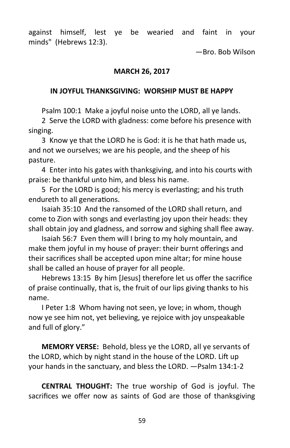against himself, lest ye be wearied and faint in your minds" (Hebrews 12:3).

—Bro. Bob Wilson

#### **MARCH 26, 2017**

#### **IN JOYFUL THANKSGIVING: WORSHIP MUST BE HAPPY**

Psalm 100:1 Make a joyful noise unto the LORD, all ye lands.

2 Serve the LORD with gladness: come before his presence with singing.

3 Know ye that the LORD he is God: it is he that hath made us, and not we ourselves; we are his people, and the sheep of his pasture.

4 Enter into his gates with thanksgiving, and into his courts with praise: be thankful unto him, and bless his name.

5 For the LORD is good; his mercy is everlasting; and his truth endureth to all generations.

Isaiah 35:10 And the ransomed of the LORD shall return, and come to Zion with songs and everlasting joy upon their heads: they shall obtain joy and gladness, and sorrow and sighing shall flee away.

Isaiah 56:7 Even them will I bring to my holy mountain, and make them joyful in my house of prayer: their burnt offerings and their sacrifices shall be accepted upon mine altar; for mine house shall be called an house of prayer for all people.

Hebrews 13:15 By him [Jesus] therefore let us offer the sacrifice of praise continually, that is, the fruit of our lips giving thanks to his name.

I Peter 1:8 Whom having not seen, ye love; in whom, though now ye see him not, yet believing, ye rejoice with joy unspeakable and full of glory."

**MEMORY VERSE:** Behold, bless ye the LORD, all ye servants of the LORD, which by night stand in the house of the LORD. Lift up your hands in the sanctuary, and bless the LORD. —Psalm 134:1-2

**CENTRAL THOUGHT:** The true worship of God is joyful. The sacrifices we offer now as saints of God are those of thanksgiving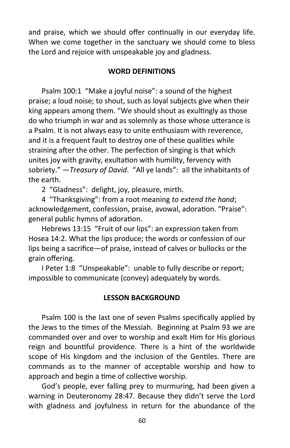and praise, which we should offer continually in our everyday life. When we come together in the sanctuary we should come to bless the Lord and rejoice with unspeakable joy and gladness.

#### **WORD DEFINITIONS**

Psalm 100:1 "Make a joyful noise": a sound of the highest praise; a loud noise; to shout, such as loyal subjects give when their king appears among them. "We should shout as exultingly as those do who triumph in war and as solemnly as those whose utterance is a Psalm. It is not always easy to unite enthusiasm with reverence, and it is a frequent fault to destroy one of these qualities while straining after the other. The perfection of singing is that which unites joy with gravity, exultation with humility, fervency with sobriety." —*Treasury of David*. "All ye lands": all the inhabitants of the earth.

2 "Gladness": delight, joy, pleasure, mirth.

4 "Thanksgiving": from a root meaning *to extend the hand*; acknowledgement, confession, praise, avowal, adoration. "Praise": general public hymns of adoration.

Hebrews 13:15 "Fruit of our lips": an expression taken from Hosea 14:2. What the lips produce; the words or confession of our lips being a sacrifice—of praise, instead of calves or bullocks or the grain offering.

I Peter 1:8 "Unspeakable": unable to fully describe or report; impossible to communicate (convey) adequately by words.

# **LESSON BACKGROUND**

Psalm 100 is the last one of seven Psalms specifically applied by the Jews to the times of the Messiah. Beginning at Psalm 93 we are commanded over and over to worship and exalt Him for His glorious reign and bountiful providence. There is a hint of the worldwide scope of His kingdom and the inclusion of the Gentiles. There are commands as to the manner of acceptable worship and how to approach and begin a time of collective worship.

God's people, ever falling prey to murmuring, had been given a warning in Deuteronomy 28:47. Because they didn't serve the Lord with gladness and joyfulness in return for the abundance of the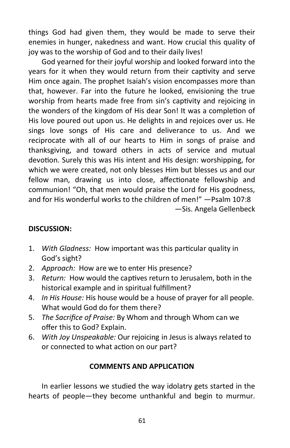things God had given them, they would be made to serve their enemies in hunger, nakedness and want. How crucial this quality of joy was to the worship of God and to their daily lives!

God yearned for their joyful worship and looked forward into the years for it when they would return from their captivity and serve Him once again. The prophet Isaiah's vision encompasses more than that, however. Far into the future he looked, envisioning the true worship from hearts made free from sin's captivity and rejoicing in the wonders of the kingdom of His dear Son! It was a completion of His love poured out upon us. He delights in and rejoices over us. He sings love songs of His care and deliverance to us. And we reciprocate with all of our hearts to Him in songs of praise and thanksgiving, and toward others in acts of service and mutual devotion. Surely this was His intent and His design: worshipping, for which we were created, not only blesses Him but blesses us and our fellow man, drawing us into close, affectionate fellowship and communion! "Oh, that men would praise the Lord for His goodness, and for His wonderful works to the children of men!" —Psalm 107:8 —Sis. Angela Gellenbeck

# **DISCUSSION:**

- 1. *With Gladness:* How important was this particular quality in God's sight?
- 2. *Approach:* How are we to enter His presence?
- 3. *Return:* How would the captives return to Jerusalem, both in the historical example and in spiritual fulfillment?
- 4. *In His House:* His house would be a house of prayer for all people. What would God do for them there?
- 5. *The Sacrifice of Praise:* By Whom and through Whom can we offer this to God? Explain.
- 6. *With Joy Unspeakable:* Our rejoicing in Jesus is always related to or connected to what action on our part?

# **COMMENTS AND APPLICATION**

In earlier lessons we studied the way idolatry gets started in the hearts of people—they become unthankful and begin to murmur.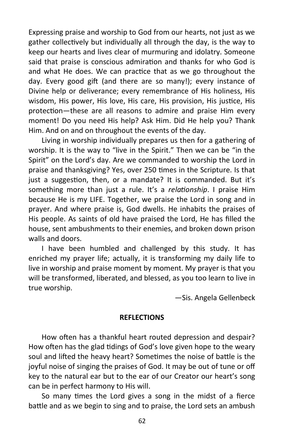Expressing praise and worship to God from our hearts, not just as we gather collectively but individually all through the day, is the way to keep our hearts and lives clear of murmuring and idolatry. Someone said that praise is conscious admiration and thanks for who God is and what He does. We can practice that as we go throughout the day. Every good gift (and there are so many!); every instance of Divine help or deliverance; every remembrance of His holiness, His wisdom, His power, His love, His care, His provision, His justice, His protection—these are all reasons to admire and praise Him every moment! Do you need His help? Ask Him. Did He help you? Thank Him. And on and on throughout the events of the day.

Living in worship individually prepares us then for a gathering of worship. It is the way to "live in the Spirit." Then we can be "in the Spirit" on the Lord's day. Are we commanded to worship the Lord in praise and thanksgiving? Yes, over 250 times in the Scripture. Is that just a suggestion, then, or a mandate? It is commanded. But it's something more than just a rule. It's a *relationship*. I praise Him because He is my LIFE. Together, we praise the Lord in song and in prayer. And where praise is, God dwells. He inhabits the praises of His people. As saints of old have praised the Lord, He has filled the house, sent ambushments to their enemies, and broken down prison walls and doors.

I have been humbled and challenged by this study. It has enriched my prayer life; actually, it is transforming my daily life to live in worship and praise moment by moment. My prayer is that you will be transformed, liberated, and blessed, as you too learn to live in true worship.

—Sis. Angela Gellenbeck

#### **REFLECTIONS**

How often has a thankful heart routed depression and despair? How often has the glad tidings of God's love given hope to the weary soul and lifted the heavy heart? Sometimes the noise of battle is the joyful noise of singing the praises of God. It may be out of tune or off key to the natural ear but to the ear of our Creator our heart's song can be in perfect harmony to His will.

So many times the Lord gives a song in the midst of a fierce battle and as we begin to sing and to praise, the Lord sets an ambush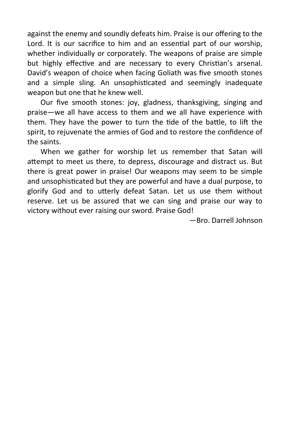against the enemy and soundly defeats him. Praise is our offering to the Lord. It is our sacrifice to him and an essential part of our worship, whether individually or corporately. The weapons of praise are simple but highly effective and are necessary to every Christian's arsenal. David's weapon of choice when facing Goliath was five smooth stones and a simple sling. An unsophisticated and seemingly inadequate weapon but one that he knew well.

Our five smooth stones: joy, gladness, thanksgiving, singing and praise—we all have access to them and we all have experience with them. They have the power to turn the tide of the battle, to lift the spirit, to rejuvenate the armies of God and to restore the confidence of the saints.

When we gather for worship let us remember that Satan will attempt to meet us there, to depress, discourage and distract us. But there is great power in praise! Our weapons may seem to be simple and unsophisticated but they are powerful and have a dual purpose, to glorify God and to utterly defeat Satan. Let us use them without reserve. Let us be assured that we can sing and praise our way to victory without ever raising our sword. Praise God!

—Bro. Darrell Johnson